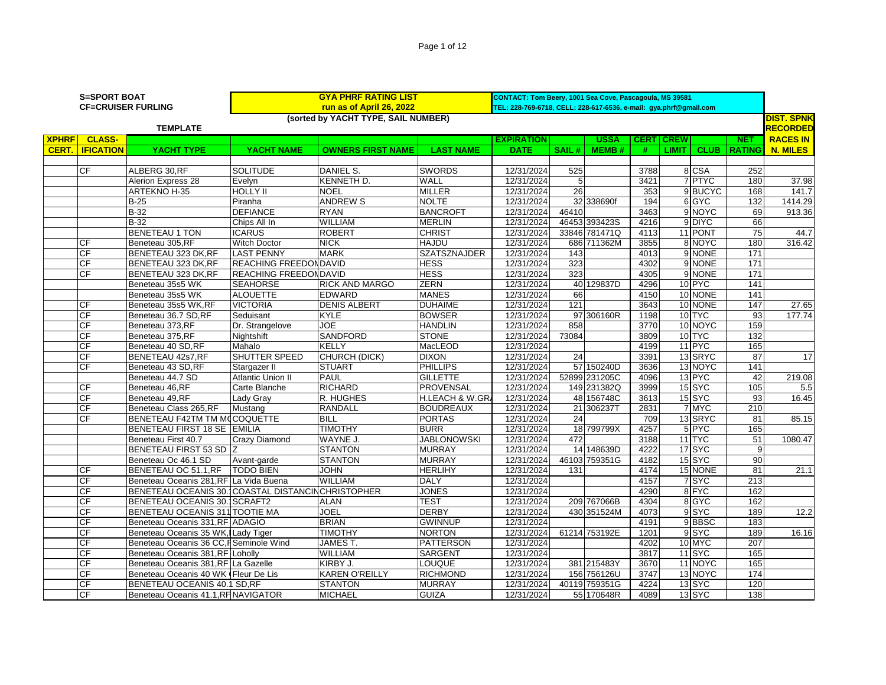| (sorted by YACHT TYPE, SAIL NUMBER)<br><b>DIST. SPNK</b><br>RECORDED<br><b>TEMPLATE</b><br><b>XPHRF</b><br><b>CLASS-</b><br><b>RACES IN</b><br><b>EXPIRATION</b><br><b>USSA</b><br><b>CERT</b><br><b>CREW</b><br><b>NET</b><br><b>YACHT NAME</b><br><b>LAST NAME</b><br><b>CLUB</b><br>CERT.<br><b>IFICATION</b><br>YACHT TYPE<br><b>OWNERS FIRST NAME</b><br><b>DATE</b><br>SAIL#<br><b>MEMB#</b><br><b>LIMIT</b><br><b>RATING</b><br><b>N. MILES</b><br>#<br><b>CF</b><br>ALBERG 30, RF<br><b>SOLITUDE</b><br>DANIEL S.<br><b>SWORDS</b><br>8 CSA<br>252<br>12/31/2024<br>525<br>3788<br>7 PTYC<br><b>KENNETH D.</b><br>WALL<br>12/31/2024<br>5<br>3421<br>180<br>Alerion Express 28<br>Evelvn<br><b>HOLLY II</b><br><b>MILLER</b><br>9 BUCYC<br><b>ARTEKNO H-35</b><br><b>NOEL</b><br>12/31/2024<br>26<br>353<br>168<br><b>NOLTE</b><br>$B-25$<br><b>ANDREW S</b><br>12/31/2024<br>32 338690f<br>194<br>6 GYC<br>132<br>Piranha<br>$B-32$<br><b>DEFIANCE</b><br><b>BANCROFT</b><br>46410<br>3463<br>9 NOYC<br>69<br><b>RYAN</b><br>12/31/2024<br><b>WILLIAM</b><br>46453 393423S<br>9 DIYC<br>66<br>$B-32$<br>Chips All In<br><b>MERLIN</b><br>12/31/2024<br>4216<br><b>BENETEAU 1 TON</b><br><b>ROBERT</b><br><b>CHRIST</b><br>33846 781471Q<br>11 PONT<br>$\overline{75}$<br><b>ICARUS</b><br>12/31/2024<br>4113<br>180<br><b>CF</b><br>Beneteau 305,RF<br><b>Witch Doctor</b><br><b>NICK</b><br><b>HAJDU</b><br>12/31/2024<br>686 711362M<br>3855<br>8 NOYC<br>CF<br><b>LAST PENNY</b><br><b>MARK</b><br><b>SZATSZNAJDER</b><br>9 NONE<br>171<br>BENETEAU 323 DK, RF<br>12/31/2024<br>143<br>4013<br>CF<br>BENETEAU 323 DK, RF<br>REACHING FREEDONDAVID<br><b>HESS</b><br>323<br>4302<br>9 NONE<br>171<br>12/31/2024<br>CF<br>REACHING FREEDON DAVID<br><b>HESS</b><br>4305<br>9 NONE<br>171<br>BENETEAU 323 DK, RF<br>12/31/2024<br>323<br><b>ZERN</b><br>10 PYC<br>141<br><b>SEAHORSE</b><br>RICK AND MARGO<br>40 129837D<br>4296<br>Beneteau 35s5 WK<br>12/31/2024<br><b>MANES</b><br>10 NONE<br>141<br>Beneteau 35s5 WK<br><b>ALOUETTE</b><br><b>EDWARD</b><br>12/31/2024<br>66<br>4150<br>147<br><b>VICTORIA</b><br><b>DUHAIME</b><br>121<br>3643<br>10 NONE<br><b>CF</b><br>Beneteau 35s5 WK,RF<br><b>DENIS ALBERT</b><br>12/31/2024<br>CF<br>Beneteau 36.7 SD, RF<br><b>BOWSER</b><br>97 306160R<br>10 TYC<br>$\overline{93}$<br>Seduisant<br><b>KYLE</b><br>12/31/2024<br>1198<br>159<br>CF<br><b>JOE</b><br><b>HANDLIN</b><br>10 NOYC<br>Dr. Strangelove<br>12/31/2024<br>858<br>3770<br>Beneteau 373,RF<br>CF<br>73084<br>10 TYC<br>132<br><b>SANDFORD</b><br><b>STONE</b><br>12/31/2024<br>3809<br>Beneteau 375,RF<br>Nightshift<br>CF<br>MacLEOD<br>11 PYC<br>165<br>Beneteau 40 SD, RF<br>Mahalo<br><b>KELLY</b><br>12/31/2024<br>4199<br>CF<br>SHUTTER SPEED<br>13 SRYC<br>87<br>BENETEAU 42s7, RF<br>CHURCH (DICK)<br><b>DIXON</b><br>12/31/2024<br>24<br>3391<br>CF<br>141<br><b>STUART</b><br><b>PHILLIPS</b><br>57 150240D<br>3636<br>13 NOYC<br>Beneteau 43 SD, RF<br>12/31/2024<br>Stargazer II<br>13 PYC<br>42<br>PAUL<br><b>GILLETTE</b><br>12/31/2024<br>52899 231205C<br>4096<br>Beneteau 44.7 SD<br><b>Atlantic Union II</b><br>$15$ SYC<br>CF<br><b>RICHARD</b><br><b>PROVENSAL</b><br>3999<br>105<br>Carte Blanche<br>12/31/2024<br>149 231382Q<br>Beneteau 46,RF<br>CF<br>15SYC<br>Lady Grav<br>R. HUGHES<br>H.LEACH & W.GR<br>12/31/2024<br>48 156748C<br>3613<br>93<br>Beneteau 49,RF<br>CF<br>Beneteau Class 265, RF<br><b>RANDALL</b><br><b>BOUDREAUX</b><br>7 MYC<br>210<br>12/31/2024<br>21<br>306237T<br>2831<br>Mustang |         |
|-------------------------------------------------------------------------------------------------------------------------------------------------------------------------------------------------------------------------------------------------------------------------------------------------------------------------------------------------------------------------------------------------------------------------------------------------------------------------------------------------------------------------------------------------------------------------------------------------------------------------------------------------------------------------------------------------------------------------------------------------------------------------------------------------------------------------------------------------------------------------------------------------------------------------------------------------------------------------------------------------------------------------------------------------------------------------------------------------------------------------------------------------------------------------------------------------------------------------------------------------------------------------------------------------------------------------------------------------------------------------------------------------------------------------------------------------------------------------------------------------------------------------------------------------------------------------------------------------------------------------------------------------------------------------------------------------------------------------------------------------------------------------------------------------------------------------------------------------------------------------------------------------------------------------------------------------------------------------------------------------------------------------------------------------------------------------------------------------------------------------------------------------------------------------------------------------------------------------------------------------------------------------------------------------------------------------------------------------------------------------------------------------------------------------------------------------------------------------------------------------------------------------------------------------------------------------------------------------------------------------------------------------------------------------------------------------------------------------------------------------------------------------------------------------------------------------------------------------------------------------------------------------------------------------------------------------------------------------------------------------------------------------------------------------------------------------------------------------------------------------------------------------------------------------------------------------------------------------------------------------------------------------------------------------------------------------------------------------------------------------------------------------------------------------------------------------------------------------------------------------------------------------------------------------------------------|---------|
|                                                                                                                                                                                                                                                                                                                                                                                                                                                                                                                                                                                                                                                                                                                                                                                                                                                                                                                                                                                                                                                                                                                                                                                                                                                                                                                                                                                                                                                                                                                                                                                                                                                                                                                                                                                                                                                                                                                                                                                                                                                                                                                                                                                                                                                                                                                                                                                                                                                                                                                                                                                                                                                                                                                                                                                                                                                                                                                                                                                                                                                                                                                                                                                                                                                                                                                                                                                                                                                                                                                                                                   |         |
|                                                                                                                                                                                                                                                                                                                                                                                                                                                                                                                                                                                                                                                                                                                                                                                                                                                                                                                                                                                                                                                                                                                                                                                                                                                                                                                                                                                                                                                                                                                                                                                                                                                                                                                                                                                                                                                                                                                                                                                                                                                                                                                                                                                                                                                                                                                                                                                                                                                                                                                                                                                                                                                                                                                                                                                                                                                                                                                                                                                                                                                                                                                                                                                                                                                                                                                                                                                                                                                                                                                                                                   |         |
|                                                                                                                                                                                                                                                                                                                                                                                                                                                                                                                                                                                                                                                                                                                                                                                                                                                                                                                                                                                                                                                                                                                                                                                                                                                                                                                                                                                                                                                                                                                                                                                                                                                                                                                                                                                                                                                                                                                                                                                                                                                                                                                                                                                                                                                                                                                                                                                                                                                                                                                                                                                                                                                                                                                                                                                                                                                                                                                                                                                                                                                                                                                                                                                                                                                                                                                                                                                                                                                                                                                                                                   |         |
|                                                                                                                                                                                                                                                                                                                                                                                                                                                                                                                                                                                                                                                                                                                                                                                                                                                                                                                                                                                                                                                                                                                                                                                                                                                                                                                                                                                                                                                                                                                                                                                                                                                                                                                                                                                                                                                                                                                                                                                                                                                                                                                                                                                                                                                                                                                                                                                                                                                                                                                                                                                                                                                                                                                                                                                                                                                                                                                                                                                                                                                                                                                                                                                                                                                                                                                                                                                                                                                                                                                                                                   |         |
|                                                                                                                                                                                                                                                                                                                                                                                                                                                                                                                                                                                                                                                                                                                                                                                                                                                                                                                                                                                                                                                                                                                                                                                                                                                                                                                                                                                                                                                                                                                                                                                                                                                                                                                                                                                                                                                                                                                                                                                                                                                                                                                                                                                                                                                                                                                                                                                                                                                                                                                                                                                                                                                                                                                                                                                                                                                                                                                                                                                                                                                                                                                                                                                                                                                                                                                                                                                                                                                                                                                                                                   |         |
|                                                                                                                                                                                                                                                                                                                                                                                                                                                                                                                                                                                                                                                                                                                                                                                                                                                                                                                                                                                                                                                                                                                                                                                                                                                                                                                                                                                                                                                                                                                                                                                                                                                                                                                                                                                                                                                                                                                                                                                                                                                                                                                                                                                                                                                                                                                                                                                                                                                                                                                                                                                                                                                                                                                                                                                                                                                                                                                                                                                                                                                                                                                                                                                                                                                                                                                                                                                                                                                                                                                                                                   | 37.98   |
|                                                                                                                                                                                                                                                                                                                                                                                                                                                                                                                                                                                                                                                                                                                                                                                                                                                                                                                                                                                                                                                                                                                                                                                                                                                                                                                                                                                                                                                                                                                                                                                                                                                                                                                                                                                                                                                                                                                                                                                                                                                                                                                                                                                                                                                                                                                                                                                                                                                                                                                                                                                                                                                                                                                                                                                                                                                                                                                                                                                                                                                                                                                                                                                                                                                                                                                                                                                                                                                                                                                                                                   | 141.7   |
|                                                                                                                                                                                                                                                                                                                                                                                                                                                                                                                                                                                                                                                                                                                                                                                                                                                                                                                                                                                                                                                                                                                                                                                                                                                                                                                                                                                                                                                                                                                                                                                                                                                                                                                                                                                                                                                                                                                                                                                                                                                                                                                                                                                                                                                                                                                                                                                                                                                                                                                                                                                                                                                                                                                                                                                                                                                                                                                                                                                                                                                                                                                                                                                                                                                                                                                                                                                                                                                                                                                                                                   | 1414.29 |
|                                                                                                                                                                                                                                                                                                                                                                                                                                                                                                                                                                                                                                                                                                                                                                                                                                                                                                                                                                                                                                                                                                                                                                                                                                                                                                                                                                                                                                                                                                                                                                                                                                                                                                                                                                                                                                                                                                                                                                                                                                                                                                                                                                                                                                                                                                                                                                                                                                                                                                                                                                                                                                                                                                                                                                                                                                                                                                                                                                                                                                                                                                                                                                                                                                                                                                                                                                                                                                                                                                                                                                   | 913.36  |
|                                                                                                                                                                                                                                                                                                                                                                                                                                                                                                                                                                                                                                                                                                                                                                                                                                                                                                                                                                                                                                                                                                                                                                                                                                                                                                                                                                                                                                                                                                                                                                                                                                                                                                                                                                                                                                                                                                                                                                                                                                                                                                                                                                                                                                                                                                                                                                                                                                                                                                                                                                                                                                                                                                                                                                                                                                                                                                                                                                                                                                                                                                                                                                                                                                                                                                                                                                                                                                                                                                                                                                   |         |
|                                                                                                                                                                                                                                                                                                                                                                                                                                                                                                                                                                                                                                                                                                                                                                                                                                                                                                                                                                                                                                                                                                                                                                                                                                                                                                                                                                                                                                                                                                                                                                                                                                                                                                                                                                                                                                                                                                                                                                                                                                                                                                                                                                                                                                                                                                                                                                                                                                                                                                                                                                                                                                                                                                                                                                                                                                                                                                                                                                                                                                                                                                                                                                                                                                                                                                                                                                                                                                                                                                                                                                   | 44.7    |
|                                                                                                                                                                                                                                                                                                                                                                                                                                                                                                                                                                                                                                                                                                                                                                                                                                                                                                                                                                                                                                                                                                                                                                                                                                                                                                                                                                                                                                                                                                                                                                                                                                                                                                                                                                                                                                                                                                                                                                                                                                                                                                                                                                                                                                                                                                                                                                                                                                                                                                                                                                                                                                                                                                                                                                                                                                                                                                                                                                                                                                                                                                                                                                                                                                                                                                                                                                                                                                                                                                                                                                   | 316.42  |
|                                                                                                                                                                                                                                                                                                                                                                                                                                                                                                                                                                                                                                                                                                                                                                                                                                                                                                                                                                                                                                                                                                                                                                                                                                                                                                                                                                                                                                                                                                                                                                                                                                                                                                                                                                                                                                                                                                                                                                                                                                                                                                                                                                                                                                                                                                                                                                                                                                                                                                                                                                                                                                                                                                                                                                                                                                                                                                                                                                                                                                                                                                                                                                                                                                                                                                                                                                                                                                                                                                                                                                   |         |
|                                                                                                                                                                                                                                                                                                                                                                                                                                                                                                                                                                                                                                                                                                                                                                                                                                                                                                                                                                                                                                                                                                                                                                                                                                                                                                                                                                                                                                                                                                                                                                                                                                                                                                                                                                                                                                                                                                                                                                                                                                                                                                                                                                                                                                                                                                                                                                                                                                                                                                                                                                                                                                                                                                                                                                                                                                                                                                                                                                                                                                                                                                                                                                                                                                                                                                                                                                                                                                                                                                                                                                   |         |
|                                                                                                                                                                                                                                                                                                                                                                                                                                                                                                                                                                                                                                                                                                                                                                                                                                                                                                                                                                                                                                                                                                                                                                                                                                                                                                                                                                                                                                                                                                                                                                                                                                                                                                                                                                                                                                                                                                                                                                                                                                                                                                                                                                                                                                                                                                                                                                                                                                                                                                                                                                                                                                                                                                                                                                                                                                                                                                                                                                                                                                                                                                                                                                                                                                                                                                                                                                                                                                                                                                                                                                   |         |
|                                                                                                                                                                                                                                                                                                                                                                                                                                                                                                                                                                                                                                                                                                                                                                                                                                                                                                                                                                                                                                                                                                                                                                                                                                                                                                                                                                                                                                                                                                                                                                                                                                                                                                                                                                                                                                                                                                                                                                                                                                                                                                                                                                                                                                                                                                                                                                                                                                                                                                                                                                                                                                                                                                                                                                                                                                                                                                                                                                                                                                                                                                                                                                                                                                                                                                                                                                                                                                                                                                                                                                   |         |
|                                                                                                                                                                                                                                                                                                                                                                                                                                                                                                                                                                                                                                                                                                                                                                                                                                                                                                                                                                                                                                                                                                                                                                                                                                                                                                                                                                                                                                                                                                                                                                                                                                                                                                                                                                                                                                                                                                                                                                                                                                                                                                                                                                                                                                                                                                                                                                                                                                                                                                                                                                                                                                                                                                                                                                                                                                                                                                                                                                                                                                                                                                                                                                                                                                                                                                                                                                                                                                                                                                                                                                   |         |
|                                                                                                                                                                                                                                                                                                                                                                                                                                                                                                                                                                                                                                                                                                                                                                                                                                                                                                                                                                                                                                                                                                                                                                                                                                                                                                                                                                                                                                                                                                                                                                                                                                                                                                                                                                                                                                                                                                                                                                                                                                                                                                                                                                                                                                                                                                                                                                                                                                                                                                                                                                                                                                                                                                                                                                                                                                                                                                                                                                                                                                                                                                                                                                                                                                                                                                                                                                                                                                                                                                                                                                   | 27.65   |
|                                                                                                                                                                                                                                                                                                                                                                                                                                                                                                                                                                                                                                                                                                                                                                                                                                                                                                                                                                                                                                                                                                                                                                                                                                                                                                                                                                                                                                                                                                                                                                                                                                                                                                                                                                                                                                                                                                                                                                                                                                                                                                                                                                                                                                                                                                                                                                                                                                                                                                                                                                                                                                                                                                                                                                                                                                                                                                                                                                                                                                                                                                                                                                                                                                                                                                                                                                                                                                                                                                                                                                   | 177.74  |
|                                                                                                                                                                                                                                                                                                                                                                                                                                                                                                                                                                                                                                                                                                                                                                                                                                                                                                                                                                                                                                                                                                                                                                                                                                                                                                                                                                                                                                                                                                                                                                                                                                                                                                                                                                                                                                                                                                                                                                                                                                                                                                                                                                                                                                                                                                                                                                                                                                                                                                                                                                                                                                                                                                                                                                                                                                                                                                                                                                                                                                                                                                                                                                                                                                                                                                                                                                                                                                                                                                                                                                   |         |
|                                                                                                                                                                                                                                                                                                                                                                                                                                                                                                                                                                                                                                                                                                                                                                                                                                                                                                                                                                                                                                                                                                                                                                                                                                                                                                                                                                                                                                                                                                                                                                                                                                                                                                                                                                                                                                                                                                                                                                                                                                                                                                                                                                                                                                                                                                                                                                                                                                                                                                                                                                                                                                                                                                                                                                                                                                                                                                                                                                                                                                                                                                                                                                                                                                                                                                                                                                                                                                                                                                                                                                   |         |
|                                                                                                                                                                                                                                                                                                                                                                                                                                                                                                                                                                                                                                                                                                                                                                                                                                                                                                                                                                                                                                                                                                                                                                                                                                                                                                                                                                                                                                                                                                                                                                                                                                                                                                                                                                                                                                                                                                                                                                                                                                                                                                                                                                                                                                                                                                                                                                                                                                                                                                                                                                                                                                                                                                                                                                                                                                                                                                                                                                                                                                                                                                                                                                                                                                                                                                                                                                                                                                                                                                                                                                   |         |
|                                                                                                                                                                                                                                                                                                                                                                                                                                                                                                                                                                                                                                                                                                                                                                                                                                                                                                                                                                                                                                                                                                                                                                                                                                                                                                                                                                                                                                                                                                                                                                                                                                                                                                                                                                                                                                                                                                                                                                                                                                                                                                                                                                                                                                                                                                                                                                                                                                                                                                                                                                                                                                                                                                                                                                                                                                                                                                                                                                                                                                                                                                                                                                                                                                                                                                                                                                                                                                                                                                                                                                   | 17      |
|                                                                                                                                                                                                                                                                                                                                                                                                                                                                                                                                                                                                                                                                                                                                                                                                                                                                                                                                                                                                                                                                                                                                                                                                                                                                                                                                                                                                                                                                                                                                                                                                                                                                                                                                                                                                                                                                                                                                                                                                                                                                                                                                                                                                                                                                                                                                                                                                                                                                                                                                                                                                                                                                                                                                                                                                                                                                                                                                                                                                                                                                                                                                                                                                                                                                                                                                                                                                                                                                                                                                                                   |         |
|                                                                                                                                                                                                                                                                                                                                                                                                                                                                                                                                                                                                                                                                                                                                                                                                                                                                                                                                                                                                                                                                                                                                                                                                                                                                                                                                                                                                                                                                                                                                                                                                                                                                                                                                                                                                                                                                                                                                                                                                                                                                                                                                                                                                                                                                                                                                                                                                                                                                                                                                                                                                                                                                                                                                                                                                                                                                                                                                                                                                                                                                                                                                                                                                                                                                                                                                                                                                                                                                                                                                                                   | 219.08  |
|                                                                                                                                                                                                                                                                                                                                                                                                                                                                                                                                                                                                                                                                                                                                                                                                                                                                                                                                                                                                                                                                                                                                                                                                                                                                                                                                                                                                                                                                                                                                                                                                                                                                                                                                                                                                                                                                                                                                                                                                                                                                                                                                                                                                                                                                                                                                                                                                                                                                                                                                                                                                                                                                                                                                                                                                                                                                                                                                                                                                                                                                                                                                                                                                                                                                                                                                                                                                                                                                                                                                                                   | 5.5     |
|                                                                                                                                                                                                                                                                                                                                                                                                                                                                                                                                                                                                                                                                                                                                                                                                                                                                                                                                                                                                                                                                                                                                                                                                                                                                                                                                                                                                                                                                                                                                                                                                                                                                                                                                                                                                                                                                                                                                                                                                                                                                                                                                                                                                                                                                                                                                                                                                                                                                                                                                                                                                                                                                                                                                                                                                                                                                                                                                                                                                                                                                                                                                                                                                                                                                                                                                                                                                                                                                                                                                                                   | 16.45   |
|                                                                                                                                                                                                                                                                                                                                                                                                                                                                                                                                                                                                                                                                                                                                                                                                                                                                                                                                                                                                                                                                                                                                                                                                                                                                                                                                                                                                                                                                                                                                                                                                                                                                                                                                                                                                                                                                                                                                                                                                                                                                                                                                                                                                                                                                                                                                                                                                                                                                                                                                                                                                                                                                                                                                                                                                                                                                                                                                                                                                                                                                                                                                                                                                                                                                                                                                                                                                                                                                                                                                                                   |         |
| 13 SRYC<br><b>CF</b><br>BENETEAU F42TM TM MCCOQUETTE<br><b>BILL</b><br><b>PORTAS</b><br>12/31/2024<br>24<br>709<br>81                                                                                                                                                                                                                                                                                                                                                                                                                                                                                                                                                                                                                                                                                                                                                                                                                                                                                                                                                                                                                                                                                                                                                                                                                                                                                                                                                                                                                                                                                                                                                                                                                                                                                                                                                                                                                                                                                                                                                                                                                                                                                                                                                                                                                                                                                                                                                                                                                                                                                                                                                                                                                                                                                                                                                                                                                                                                                                                                                                                                                                                                                                                                                                                                                                                                                                                                                                                                                                             | 85.15   |
| 5 PYC<br><b>TIMOTHY</b><br><b>BURR</b><br>18 799799X<br>4257<br>165<br>BENETEAU FIRST 18 SE EMILIA<br>12/31/2024                                                                                                                                                                                                                                                                                                                                                                                                                                                                                                                                                                                                                                                                                                                                                                                                                                                                                                                                                                                                                                                                                                                                                                                                                                                                                                                                                                                                                                                                                                                                                                                                                                                                                                                                                                                                                                                                                                                                                                                                                                                                                                                                                                                                                                                                                                                                                                                                                                                                                                                                                                                                                                                                                                                                                                                                                                                                                                                                                                                                                                                                                                                                                                                                                                                                                                                                                                                                                                                  |         |
| <b>Crazy Diamond</b><br>WAYNE J.<br><b>JABLONOWSKI</b><br>472<br>3188<br>11 TYC<br>51<br>Beneteau First 40.7<br>12/31/2024                                                                                                                                                                                                                                                                                                                                                                                                                                                                                                                                                                                                                                                                                                                                                                                                                                                                                                                                                                                                                                                                                                                                                                                                                                                                                                                                                                                                                                                                                                                                                                                                                                                                                                                                                                                                                                                                                                                                                                                                                                                                                                                                                                                                                                                                                                                                                                                                                                                                                                                                                                                                                                                                                                                                                                                                                                                                                                                                                                                                                                                                                                                                                                                                                                                                                                                                                                                                                                        | 1080.47 |
| 17 SYC<br>g<br><b>BENETEAU FIRST 53 SD</b><br><b>STANTON</b><br><b>MURRAY</b><br>14 148639D<br>4222<br>12/31/2024                                                                                                                                                                                                                                                                                                                                                                                                                                                                                                                                                                                                                                                                                                                                                                                                                                                                                                                                                                                                                                                                                                                                                                                                                                                                                                                                                                                                                                                                                                                                                                                                                                                                                                                                                                                                                                                                                                                                                                                                                                                                                                                                                                                                                                                                                                                                                                                                                                                                                                                                                                                                                                                                                                                                                                                                                                                                                                                                                                                                                                                                                                                                                                                                                                                                                                                                                                                                                                                 |         |
| 15 SYC<br>90<br>Beneteau Oc 46.1 SD<br><b>STANTON</b><br><b>MURRAY</b><br>12/31/2024<br>46103 759351G<br>4182<br>Avant-garde                                                                                                                                                                                                                                                                                                                                                                                                                                                                                                                                                                                                                                                                                                                                                                                                                                                                                                                                                                                                                                                                                                                                                                                                                                                                                                                                                                                                                                                                                                                                                                                                                                                                                                                                                                                                                                                                                                                                                                                                                                                                                                                                                                                                                                                                                                                                                                                                                                                                                                                                                                                                                                                                                                                                                                                                                                                                                                                                                                                                                                                                                                                                                                                                                                                                                                                                                                                                                                      |         |
| <b>HERLIHY</b><br>15 NONE<br>81<br><b>CF</b><br>BENETEAU OC 51.1, RF<br><b>TODO BIEN</b><br><b>JOHN</b><br>12/31/2024<br>131<br>4174                                                                                                                                                                                                                                                                                                                                                                                                                                                                                                                                                                                                                                                                                                                                                                                                                                                                                                                                                                                                                                                                                                                                                                                                                                                                                                                                                                                                                                                                                                                                                                                                                                                                                                                                                                                                                                                                                                                                                                                                                                                                                                                                                                                                                                                                                                                                                                                                                                                                                                                                                                                                                                                                                                                                                                                                                                                                                                                                                                                                                                                                                                                                                                                                                                                                                                                                                                                                                              | 21.1    |
| 4157<br>213<br>CF<br>Beneteau Oceanis 281, RF La Vida Buena<br><b>WILLIAM</b><br><b>DALY</b><br>12/31/2024<br>7 SYC                                                                                                                                                                                                                                                                                                                                                                                                                                                                                                                                                                                                                                                                                                                                                                                                                                                                                                                                                                                                                                                                                                                                                                                                                                                                                                                                                                                                                                                                                                                                                                                                                                                                                                                                                                                                                                                                                                                                                                                                                                                                                                                                                                                                                                                                                                                                                                                                                                                                                                                                                                                                                                                                                                                                                                                                                                                                                                                                                                                                                                                                                                                                                                                                                                                                                                                                                                                                                                               |         |
| CF<br>8 FYC<br>BENETEAU OCEANIS 30.1 COASTAL DISTANCINCHRISTOPHER<br><b>JONES</b><br>12/31/2024<br>4290<br>162                                                                                                                                                                                                                                                                                                                                                                                                                                                                                                                                                                                                                                                                                                                                                                                                                                                                                                                                                                                                                                                                                                                                                                                                                                                                                                                                                                                                                                                                                                                                                                                                                                                                                                                                                                                                                                                                                                                                                                                                                                                                                                                                                                                                                                                                                                                                                                                                                                                                                                                                                                                                                                                                                                                                                                                                                                                                                                                                                                                                                                                                                                                                                                                                                                                                                                                                                                                                                                                    |         |
| CF<br>8 GYC<br>BENETEAU OCEANIS 30. SCRAFT2<br><b>ALAN</b><br>TEST<br>12/31/2024<br>209 767066B<br>4304<br>162                                                                                                                                                                                                                                                                                                                                                                                                                                                                                                                                                                                                                                                                                                                                                                                                                                                                                                                                                                                                                                                                                                                                                                                                                                                                                                                                                                                                                                                                                                                                                                                                                                                                                                                                                                                                                                                                                                                                                                                                                                                                                                                                                                                                                                                                                                                                                                                                                                                                                                                                                                                                                                                                                                                                                                                                                                                                                                                                                                                                                                                                                                                                                                                                                                                                                                                                                                                                                                                    |         |
| 9SYC<br>CF<br>BENETEAU OCEANIS 311 TOOTIE MA<br>JOEL<br><b>DERBY</b><br>12/31/2024<br>430 351524M<br>4073<br>189                                                                                                                                                                                                                                                                                                                                                                                                                                                                                                                                                                                                                                                                                                                                                                                                                                                                                                                                                                                                                                                                                                                                                                                                                                                                                                                                                                                                                                                                                                                                                                                                                                                                                                                                                                                                                                                                                                                                                                                                                                                                                                                                                                                                                                                                                                                                                                                                                                                                                                                                                                                                                                                                                                                                                                                                                                                                                                                                                                                                                                                                                                                                                                                                                                                                                                                                                                                                                                                  | 12.2    |
| CF<br>9BBSC<br>Beneteau Oceanis 331, RF ADAGIO<br><b>BRIAN</b><br><b>GWINNUP</b><br>12/31/2024<br>4191<br>183                                                                                                                                                                                                                                                                                                                                                                                                                                                                                                                                                                                                                                                                                                                                                                                                                                                                                                                                                                                                                                                                                                                                                                                                                                                                                                                                                                                                                                                                                                                                                                                                                                                                                                                                                                                                                                                                                                                                                                                                                                                                                                                                                                                                                                                                                                                                                                                                                                                                                                                                                                                                                                                                                                                                                                                                                                                                                                                                                                                                                                                                                                                                                                                                                                                                                                                                                                                                                                                     |         |
| CF<br>9SYC<br>189<br><b>TIMOTHY</b><br><b>NORTON</b><br>12/31/2024<br>61214 753192E<br>1201<br>Beneteau Oceanis 35 WK, I Lady Tiger                                                                                                                                                                                                                                                                                                                                                                                                                                                                                                                                                                                                                                                                                                                                                                                                                                                                                                                                                                                                                                                                                                                                                                                                                                                                                                                                                                                                                                                                                                                                                                                                                                                                                                                                                                                                                                                                                                                                                                                                                                                                                                                                                                                                                                                                                                                                                                                                                                                                                                                                                                                                                                                                                                                                                                                                                                                                                                                                                                                                                                                                                                                                                                                                                                                                                                                                                                                                                               | 16.16   |
| CF<br><b>JAMEST.</b><br>4202<br>10 MYC<br>207<br>Beneteau Oceanis 36 CC, FSeminole Wind<br><b>PATTERSON</b><br>12/31/2024                                                                                                                                                                                                                                                                                                                                                                                                                                                                                                                                                                                                                                                                                                                                                                                                                                                                                                                                                                                                                                                                                                                                                                                                                                                                                                                                                                                                                                                                                                                                                                                                                                                                                                                                                                                                                                                                                                                                                                                                                                                                                                                                                                                                                                                                                                                                                                                                                                                                                                                                                                                                                                                                                                                                                                                                                                                                                                                                                                                                                                                                                                                                                                                                                                                                                                                                                                                                                                         |         |
| CF<br><b>WILLIAM</b><br><b>SARGENT</b><br>3817<br>11 <sub>SYC</sub><br>165<br>Beneteau Oceanis 381, RF Loholly<br>12/31/2024                                                                                                                                                                                                                                                                                                                                                                                                                                                                                                                                                                                                                                                                                                                                                                                                                                                                                                                                                                                                                                                                                                                                                                                                                                                                                                                                                                                                                                                                                                                                                                                                                                                                                                                                                                                                                                                                                                                                                                                                                                                                                                                                                                                                                                                                                                                                                                                                                                                                                                                                                                                                                                                                                                                                                                                                                                                                                                                                                                                                                                                                                                                                                                                                                                                                                                                                                                                                                                      |         |
| CF<br>KIRBY J.<br>3670<br>11 NOYC<br>165<br>Beneteau Oceanis 381, RF La Gazelle<br>LOUQUE<br>12/31/2024<br>381 215483Y                                                                                                                                                                                                                                                                                                                                                                                                                                                                                                                                                                                                                                                                                                                                                                                                                                                                                                                                                                                                                                                                                                                                                                                                                                                                                                                                                                                                                                                                                                                                                                                                                                                                                                                                                                                                                                                                                                                                                                                                                                                                                                                                                                                                                                                                                                                                                                                                                                                                                                                                                                                                                                                                                                                                                                                                                                                                                                                                                                                                                                                                                                                                                                                                                                                                                                                                                                                                                                            |         |
| $\overline{CF}$<br>156 756126U<br>174<br><b>KAREN O'REILLY</b><br><b>RICHMOND</b><br>12/31/2024<br>3747<br>13 NOYC<br>Beneteau Oceanis 40 WK (Fleur De Lis                                                                                                                                                                                                                                                                                                                                                                                                                                                                                                                                                                                                                                                                                                                                                                                                                                                                                                                                                                                                                                                                                                                                                                                                                                                                                                                                                                                                                                                                                                                                                                                                                                                                                                                                                                                                                                                                                                                                                                                                                                                                                                                                                                                                                                                                                                                                                                                                                                                                                                                                                                                                                                                                                                                                                                                                                                                                                                                                                                                                                                                                                                                                                                                                                                                                                                                                                                                                        |         |
| CF<br>120<br>BENETEAU OCEANIS 40.1 SD, RF<br><b>STANTON</b><br><b>MURRAY</b><br>12/31/2024<br>40119 759351G<br>4224<br>13 SYC                                                                                                                                                                                                                                                                                                                                                                                                                                                                                                                                                                                                                                                                                                                                                                                                                                                                                                                                                                                                                                                                                                                                                                                                                                                                                                                                                                                                                                                                                                                                                                                                                                                                                                                                                                                                                                                                                                                                                                                                                                                                                                                                                                                                                                                                                                                                                                                                                                                                                                                                                                                                                                                                                                                                                                                                                                                                                                                                                                                                                                                                                                                                                                                                                                                                                                                                                                                                                                     |         |
| CF<br>138<br><b>MICHAEL</b><br><b>GUIZA</b><br>55 170648R<br>4089<br>13 SYC<br>Beneteau Oceanis 41.1, RF NAVIGATOR<br>12/31/2024                                                                                                                                                                                                                                                                                                                                                                                                                                                                                                                                                                                                                                                                                                                                                                                                                                                                                                                                                                                                                                                                                                                                                                                                                                                                                                                                                                                                                                                                                                                                                                                                                                                                                                                                                                                                                                                                                                                                                                                                                                                                                                                                                                                                                                                                                                                                                                                                                                                                                                                                                                                                                                                                                                                                                                                                                                                                                                                                                                                                                                                                                                                                                                                                                                                                                                                                                                                                                                  |         |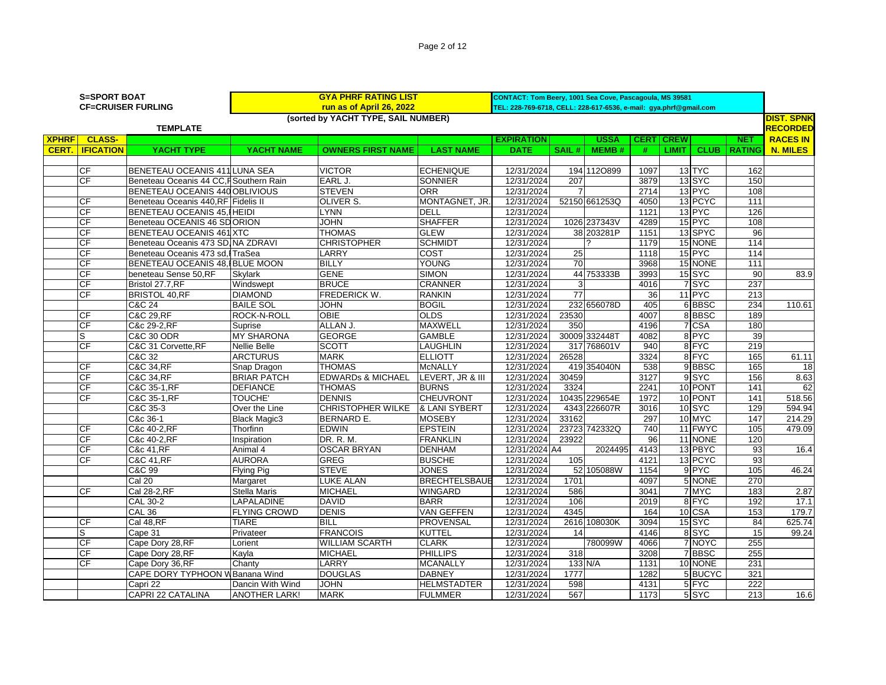|              | <b>S=SPORT BOAT</b><br><b>CF=CRUISER FURLING</b> |                                        |                     | <b>GYA PHRF RATING LIST</b><br>run as of April 26, 2022 |                      | CONTACT: Tom Beery, 1001 Sea Cove, Pascagoula, MS 39581<br>TEL: 228-769-6718, CELL: 228-617-6536, e-mail: gya.phrf@gmail.com |                 |               |      |                  |                   |               |                                      |
|--------------|--------------------------------------------------|----------------------------------------|---------------------|---------------------------------------------------------|----------------------|------------------------------------------------------------------------------------------------------------------------------|-----------------|---------------|------|------------------|-------------------|---------------|--------------------------------------|
|              |                                                  | <b>TEMPLATE</b>                        |                     | (sorted by YACHT TYPE, SAIL NUMBER)                     |                      |                                                                                                                              |                 |               |      |                  |                   |               | <b>DIST. SPNK</b><br><b>RECORDED</b> |
| <b>XPHRF</b> | <b>CLASS-</b>                                    |                                        |                     |                                                         |                      | <b>EXPIRATION</b>                                                                                                            |                 | <b>USSA</b>   |      | <b>CERT CREW</b> |                   | <b>NET</b>    | <b>RACES IN</b>                      |
| <b>CERT.</b> | <b>IFICATION</b>                                 | YACHT TYPE                             | YACHT NAME          | <b>OWNERS FIRST NAME</b>                                | <b>LAST NAME</b>     | <b>DATE</b>                                                                                                                  | SAIL#           | <b>MEMB#</b>  | #    | LIMIT I          | <b>CLUB</b>       | <b>RATING</b> | <b>N. MILES</b>                      |
|              |                                                  |                                        |                     |                                                         |                      |                                                                                                                              |                 |               |      |                  |                   |               |                                      |
|              | <b>CF</b>                                        | BENETEAU OCEANIS 411 LUNA SEA          |                     | <b>VICTOR</b>                                           | <b>ECHENIQUE</b>     | 12/31/2024                                                                                                                   |                 | 194 1120899   | 1097 |                  | 13 TYC            | 162           |                                      |
|              | CF                                               | Beneteau Oceanis 44 CC. FSouthern Rain |                     | EARL J.                                                 | <b>SONNIER</b>       | 12/31/2024                                                                                                                   | 207             |               | 3879 |                  | 13 <sub>SYC</sub> | 150           |                                      |
|              |                                                  | BENETEAU OCEANIS 440 OBLIVIOUS         |                     | <b>STEVEN</b>                                           | <b>ORR</b>           | 12/31/2024                                                                                                                   |                 |               | 2714 |                  | 13 PYC            | 108           |                                      |
|              | CF                                               | Beneteau Oceanis 440.RF Fidelis II     |                     | OLIVER S.                                               | MONTAGNET, JR.       | 12/31/2024                                                                                                                   |                 | 52150 661253Q | 4050 |                  | 13 PCYC           | 111           |                                      |
|              | <b>CF</b>                                        | BENETEAU OCEANIS 45, HEIDI             |                     | <b>LYNN</b>                                             | DELL                 | 12/31/2024                                                                                                                   |                 |               | 1121 |                  | 13 PYC            | 126           |                                      |
|              | CF                                               | Beneteau OCEANIS 46 SDORION            |                     | <b>JOHN</b>                                             | <b>SHAFFER</b>       | 12/31/2024                                                                                                                   |                 | 1026 237343V  | 4289 |                  | 15 PYC            | 108           |                                      |
|              | CF                                               | BENETEAU OCEANIS 461 XTC               |                     | <b>THOMAS</b>                                           | <b>GLEW</b>          | 12/31/2024                                                                                                                   |                 | 38 203281P    | 1151 |                  | 13 SPYC           | 96            |                                      |
|              | CF                                               | Beneteau Oceanis 473 SD, NA ZDRAVI     |                     | <b>CHRISTOPHER</b>                                      | <b>SCHMIDT</b>       | 12/31/2024                                                                                                                   |                 |               | 1179 |                  | 15 NONE           | 114           |                                      |
|              | CF                                               | Beneteau Oceanis 473 sd, ITraSea       |                     | LARRY                                                   | COST                 | 12/31/2024                                                                                                                   | 25              |               | 1118 |                  | 15 PYC            | 114           |                                      |
|              | CF                                               | BENETEAU OCEANIS 48. BLUE MOON         |                     | <b>BILLY</b>                                            | <b>YOUNG</b>         | 12/31/2024                                                                                                                   | $\overline{70}$ |               | 3968 |                  | 15 NONE           | 111           |                                      |
|              | CF                                               | beneteau Sense 50,RF                   | <b>Skylark</b>      | <b>GENE</b>                                             | <b>SIMON</b>         | 12/31/2024                                                                                                                   |                 | 44 753333B    | 3993 |                  | 15SYC             | 90            | 83.9                                 |
|              | <b>CF</b>                                        | Bristol 27.7.RF                        | Windswept           | <b>BRUCE</b>                                            | <b>CRANNER</b>       | 12/31/2024                                                                                                                   | 3               |               | 4016 |                  | 7 SYC             | 237           |                                      |
|              | CF                                               | <b>BRISTOL 40,RF</b>                   | <b>DIAMOND</b>      | FREDERICK W.                                            | <b>RANKIN</b>        | 12/31/2024                                                                                                                   | $\overline{77}$ |               | 36   |                  | 11 PYC            | 213           |                                      |
|              |                                                  | C&C 24                                 | <b>BAILE SOL</b>    | <b>JOHN</b>                                             | <b>BOGIL</b>         | 12/31/2024                                                                                                                   |                 | 232 656078D   | 405  |                  | 6BBSC             | 234           | 110.61                               |
|              | CF                                               | <b>C&amp;C 29.RF</b>                   | <b>ROCK-N-ROLL</b>  | <b>OBIE</b>                                             | <b>OLDS</b>          | 12/31/2024                                                                                                                   | 23530           |               | 4007 |                  | 8BBSC             | 189           |                                      |
|              | CF                                               | C&c 29-2.RF                            | Suprise             | ALLAN J.                                                | <b>MAXWELL</b>       | 12/31/2024                                                                                                                   | 350             |               | 4196 |                  | 7 CSA             | 180           |                                      |
|              | S                                                | C&C 30 ODR                             | <b>MY SHARONA</b>   | <b>GEORGE</b>                                           | <b>GAMBLE</b>        | 12/31/2024                                                                                                                   |                 | 30009 332448T | 4082 |                  | 8 PYC             | 39            |                                      |
|              | CF                                               | C&C 31 Corvette, RF                    | <b>Nellie Belle</b> | <b>SCOTT</b>                                            | <b>LAUGHLIN</b>      | 12/31/2024                                                                                                                   |                 | 317 768601V   | 940  |                  | 8 FYC             | 219           |                                      |
|              |                                                  | C&C 32                                 | <b>ARCTURUS</b>     | <b>MARK</b>                                             | <b>ELLIOTT</b>       | 12/31/2024                                                                                                                   | 26528           |               | 3324 |                  | 8 FYC             | 165           | 61.11                                |
|              | <b>CF</b>                                        | C&C 34.RF                              | Snap Dragon         | <b>THOMAS</b>                                           | <b>McNALLY</b>       | 12/31/2024                                                                                                                   |                 | 419 354040N   | 538  |                  | 9BBSC             | 165           | 18                                   |
|              | CF                                               | C&C 34, RF                             | <b>BRIAR PATCH</b>  | <b>EDWARDs &amp; MICHAEL</b>                            | LEVERT. JR & III     | 12/31/2024                                                                                                                   | 30459           |               | 3127 |                  | 9SYC              | 156           | 8.63                                 |
|              | CF                                               | C&C 35-1, RF                           | <b>DEFIANCE</b>     | <b>THOMAS</b>                                           | <b>BURNS</b>         | 12/31/2024                                                                                                                   | 3324            |               | 2241 |                  | 10 PONT           | 141           | 62                                   |
|              | CF                                               | C&C 35-1, RF                           | <b>TOUCHE'</b>      | <b>DENNIS</b>                                           | <b>CHEUVRONT</b>     | 12/31/2024                                                                                                                   |                 | 10435 229654E | 1972 |                  | 10 PONT           | 141           | 518.56                               |
|              |                                                  | C&C 35-3                               | Over the Line       | <b>CHRISTOPHER WILKE</b>                                | & LANI SYBERT        | 12/31/2024                                                                                                                   |                 | 4343 226607R  | 3016 |                  | 10SYC             | 129           | 594.94                               |
|              |                                                  | C&c 36-1                               | <b>Black Magic3</b> | <b>BERNARD E.</b>                                       | <b>MOSEBY</b>        | 12/31/2024                                                                                                                   | 33162           |               | 297  |                  | 10 MYC            | 147           | 214.29                               |
|              | <b>CF</b>                                        | C&c 40-2.RF                            | Thorfinn            | <b>EDWIN</b>                                            | <b>EPSTEIN</b>       | 12/31/2024                                                                                                                   |                 | 23723 742332Q | 740  |                  | 11 FWYC           | 105           | 479.09                               |
|              | CF                                               | C&c 40-2.RF                            | Inspiration         | DR. R. M.                                               | <b>FRANKLIN</b>      | 12/31/2024                                                                                                                   | 23922           |               | 96   |                  | 11 NONE           | 120           |                                      |
|              | CF                                               | C&c 41, RF                             | Animal 4            | <b>OSCAR BRYAN</b>                                      | <b>DENHAM</b>        | 12/31/2024 A4                                                                                                                |                 | 2024495       | 4143 |                  | 13 PBYC           | 93            | 16.4                                 |
|              | CF                                               | <b>C&amp;C 41, RF</b>                  | <b>AURORA</b>       | <b>GREG</b>                                             | <b>BUSCHE</b>        | 12/31/2024                                                                                                                   | 105             |               | 4121 |                  | 13 PCYC           | 93            |                                      |
|              |                                                  | C&C 99                                 | <b>Flying Pig</b>   | <b>STEVE</b>                                            | <b>JONES</b>         | 12/31/2024                                                                                                                   |                 | 52 105088W    | 1154 |                  | 9 PYC             | 105           | 46.24                                |
|              |                                                  | Cal 20                                 | Margaret            | <b>LUKE ALAN</b>                                        | <b>BRECHTELSBAUE</b> | 12/31/2024                                                                                                                   | 1701            |               | 4097 |                  | 5 NONE            | 270           |                                      |

CF Cal 28-2,RF Stella Maris MICHAEL WINGARD 12/31/2024 586 3041 7 MYC 183 2.87

CF |Cal 48,RF |TIARE |BILL |PROVENSAL | 12/31/2024| 2616|108030K | 3094| 15|SYC | 84| 625.74 S Cape 31 Privateer FRANCOIS KUTTEL 12/31/2024 14 4146 8 SYC 15 99.24

CAPE DORY TYPHOON WBanana Wind DOUGLAS DABNEY | 12/31/2024 | 1777 | 1282 | 5 BUCYC | 321 Capri 22 Dancin With Wind JOHN HELMSTADTER 12/31/2024 598 4131 5 FYC 222

CF Cape Dory 28,RF Lorient WILLIAM SCARTH CLARK 12/31/2024 780099W 4066 7 NOYC 255 CF |Cape Dory 28,RF |Kayla |MICHAEL |PHILLIPS | 12/31/2024 | 318 | | 3208 | 7 |BBSC | 255 CF Cape Dory 36,RF Chanty LARRY MCANALLY 12/31/2024 133 N/A 1131 10 NONE 231

CAL 30-2 LAPALADINE DAVID BARR 12/31/2024 106 2019 8 FYC 192 17.1 CAL 36 FLYING CROWD DENIS VAN GEFFEN 12/31/2024 4345 164 10 CSA 153 179.7

CAPRI 22 CATALINA ANOTHER LARK! MARK FULMMER 12/31/2024 567 1173 5 SYC 213 16.6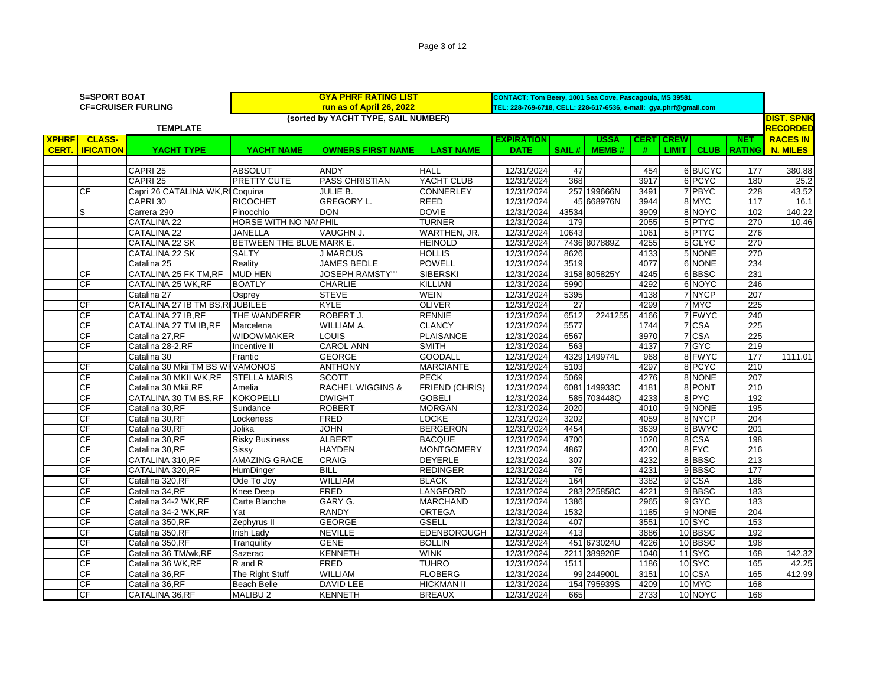| Page 3 of 12 |
|--------------|
|--------------|

|              | <b>S=SPORT BOAT</b>      |                                  | <b>GYA PHRF RATING LIST</b> | CONTACT: Tom Beery, 1001 Sea Cove, Pascagoula, MS 39581<br>TEL: 228-769-6718, CELL: 228-617-6536, e-mail: gya.phrf@gmail.com |                       |                   |       |              |      |                      |                  |                   |
|--------------|--------------------------|----------------------------------|-----------------------------|------------------------------------------------------------------------------------------------------------------------------|-----------------------|-------------------|-------|--------------|------|----------------------|------------------|-------------------|
|              |                          | <b>CF=CRUISER FURLING</b>        |                             | run as of April 26, 2022                                                                                                     |                       |                   |       |              |      |                      |                  |                   |
|              |                          |                                  |                             | (sorted by YACHT TYPE, SAIL NUMBER)                                                                                          |                       |                   |       |              |      |                      |                  | <b>DIST. SPNK</b> |
|              |                          | <b>TEMPLATE</b>                  |                             |                                                                                                                              |                       |                   |       |              |      |                      |                  | <b>RECORDED</b>   |
| <b>XPHRF</b> | <b>CLASS-</b>            |                                  |                             |                                                                                                                              |                       | <b>EXPIRATION</b> |       | <b>USSA</b>  | CERT | <b>CREW</b>          | <b>NET</b>       | <b>RACES IN</b>   |
| CERT.        | <b>IFICATION</b>         | <b>YACHT TYPE</b>                | YACHT NAME                  | <b>OWNERS FIRST NAME</b>                                                                                                     | <b>LAST NAME</b>      | <b>DATE</b>       | SAIL# | <b>MEMB#</b> | #    | CLUB<br><b>LIMIT</b> | <b>RATING</b>    | <b>N. MILES</b>   |
|              |                          |                                  |                             |                                                                                                                              |                       |                   |       |              |      |                      |                  |                   |
|              |                          | CAPRI 25                         | <b>ABSOLUT</b>              | <b>ANDY</b>                                                                                                                  | <b>HALL</b>           | 12/31/2024        | 47    |              | 454  | 6 BUCYC              | 177              | 380.88            |
|              |                          | CAPRI 25                         | <b>PRETTY CUTE</b>          | <b>PASS CHRISTIAN</b>                                                                                                        | YACHT CLUB            | 12/31/2024        | 368   |              | 3917 | 6 PCYC               | 180              | 25.2              |
|              | <b>CF</b>                | Capri 26 CATALINA WK, RI Coquina |                             | <b>JULIE B.</b>                                                                                                              | <b>CONNERLEY</b>      | 12/31/2024        |       | 257 199666N  | 3491 | 7 PBYC               | 228              | 43.52             |
|              |                          | CAPRI 30                         | <b>RICOCHET</b>             | <b>GREGORY L.</b>                                                                                                            | <b>REED</b>           | 12/31/2024        |       | 45 668976N   | 3944 | 8 MYC                | 117              | 16.1              |
|              | S                        | Carrera 290                      | Pinocchio                   | <b>DON</b>                                                                                                                   | <b>DOVIE</b>          | 12/31/2024        | 43534 |              | 3909 | 8 NOYC               | 102              | 140.22            |
|              |                          | <b>CATALINA 22</b>               | HORSE WITH NO NAI PHIL      |                                                                                                                              | <b>TURNER</b>         | 12/31/2024        | 179   |              | 2055 | 5 PTYC               | 270              | 10.46             |
|              |                          | CATALINA 22                      | JANELLA                     | VAUGHN J.                                                                                                                    | WARTHEN, JR.          | 12/31/2024        | 10643 |              | 1061 | 5 PTYC               | 276              |                   |
|              |                          | <b>CATALINA 22 SK</b>            | BETWEEN THE BLUE MARK E.    |                                                                                                                              | <b>HEINOLD</b>        | 12/31/2024        |       | 7436 807889Z | 4255 | 5 GLYC               | 270              |                   |
|              |                          | CATALINA 22 SK                   | <b>SALTY</b>                | <b>J MARCUS</b>                                                                                                              | <b>HOLLIS</b>         | 12/31/2024        | 8626  |              | 4133 | 5 NONE               | 270              |                   |
|              |                          | Catalina 25                      | Reality                     | JAMES BEDLE                                                                                                                  | <b>POWELL</b>         | 12/31/2024        | 3519  |              | 4077 | 6 NONE               | 234              |                   |
|              | СF                       | CATALINA 25 FK TM, RF            | <b>MUD HEN</b>              | <b>JOSEPH RAMSTY""</b>                                                                                                       | <b>SIBERSKI</b>       | 12/31/2024        |       | 3158 805825Y | 4245 | 6BBSC                | 231              |                   |
|              | <b>CF</b>                | CATALINA 25 WK,RF                | <b>BOATLY</b>               | <b>CHARLIE</b>                                                                                                               | <b>KILLIAN</b>        | 12/31/2024        | 5990  |              | 4292 | 6 NOYC               | 246              |                   |
|              |                          | Catalina 27                      | Osprey                      | <b>STEVE</b>                                                                                                                 | <b>WEIN</b>           | 12/31/2024        | 5395  |              | 4138 | 7 NYCP               | 207              |                   |
|              | CF                       | CATALINA 27 IB TM BS, RIJUBILEE  |                             | KYLE                                                                                                                         | <b>OLIVER</b>         | 12/31/2024        | 27    |              | 4299 | 7 MYC                | 225              |                   |
|              | CF                       | CATALINA 27 IB,RF                | THE WANDERER                | ROBERT J.                                                                                                                    | <b>RENNIE</b>         | 12/31/2024        | 6512  | 2241255      | 4166 | 7 FWYC               | 240              |                   |
|              | CF                       | CATALINA 27 TM IB, RF            | Marcelena                   | WILLIAM A.                                                                                                                   | <b>CLANCY</b>         | 12/31/2024        | 5577  |              | 1744 | 7 CSA                | 225              |                   |
|              | CF                       | Catalina 27,RF                   | WIDOWMAKER                  | LOUIS                                                                                                                        | <b>PLAISANCE</b>      | 12/31/2024        | 6567  |              | 3970 | 7 CSA                | $\overline{225}$ |                   |
|              | CF                       | Catalina 28-2,RF                 | Incentive II                | <b>CAROL ANN</b>                                                                                                             | <b>SMITH</b>          | 12/31/2024        | 563   |              | 4137 | 7 GYC                | 219              |                   |
|              |                          | Catalina 30                      | Frantic                     | <b>GEORGE</b>                                                                                                                | <b>GOODALL</b>        | 12/31/2024        |       | 4329 149974L | 968  | 8 FWYC               | 177              | 1111.01           |
|              | СF                       | Catalina 30 Mkii TM BS WHVAMONOS |                             | <b>ANTHONY</b>                                                                                                               | <b>MARCIANTE</b>      | 12/31/2024        | 5103  |              | 4297 | 8 PCYC               | 210              |                   |
|              | CF                       | Catalina 30 MKII WK, RF          | <b>STELLA MARIS</b>         | <b>SCOTT</b>                                                                                                                 | <b>PECK</b>           | 12/31/2024        | 5069  |              | 4276 | 8 NONE               | 207              |                   |
|              | CF                       | Catalina 30 Mkii, RF             | Amelia                      | <b>RACHEL WIGGINS &amp;</b>                                                                                                  | <b>FRIEND (CHRIS)</b> | 12/31/2024        |       | 6081 149933C | 4181 | 8 PONT               | 210              |                   |
|              | <b>CF</b>                | CATALINA 30 TM BS, RF            | <b>KOKOPELLI</b>            | <b>DWIGHT</b>                                                                                                                | <b>GOBELI</b>         | 12/31/2024        |       | 585 703448Q  | 4233 | 8 PYC                | 192              |                   |
|              | CF                       | Catalina 30,RF                   | Sundance                    | <b>ROBERT</b>                                                                                                                | <b>MORGAN</b>         | 12/31/2024        | 2020  |              | 4010 | 9 NONE               | 195              |                   |
|              | СF                       | Catalina 30, RF                  | Lockeness                   | <b>FRED</b>                                                                                                                  | LOCKE                 | 12/31/2024        | 3202  |              | 4059 | 8 NYCP               | 204              |                   |
|              | СF                       | Catalina 30, RF                  | Jolika                      | <b>NHOL</b>                                                                                                                  | <b>BERGERON</b>       | 12/31/2024        | 4454  |              | 3639 | 8BWYC                | $\overline{201}$ |                   |
|              | $\overline{\mathsf{CF}}$ | Catalina 30, RF                  | <b>Risky Business</b>       | <b>ALBERT</b>                                                                                                                | <b>BACQUE</b>         | 12/31/2024        | 4700  |              | 1020 | 8 CSA                | 198              |                   |
|              | СF                       | Catalina 30,RF                   | Sissy                       | <b>HAYDEN</b>                                                                                                                | <b>MONTGOMERY</b>     | 12/31/2024        | 4867  |              | 4200 | 8 FYC                | 216              |                   |
|              | СF                       | CATALINA 310,RF                  | <b>AMAZING GRACE</b>        | <b>CRAIG</b>                                                                                                                 | <b>DEYERLE</b>        | 12/31/2024        | 307   |              | 4232 | 8BBSC                | $\overline{213}$ |                   |
|              | СF                       | CATALINA 320,RF                  | HumDinger                   | BILL                                                                                                                         | <b>REDINGER</b>       | 12/31/2024        | 76    |              | 4231 | 9BBSC                | 177              |                   |
|              | СF                       | Catalina 320, RF                 | Ode To Joy                  | WILLIAM                                                                                                                      | <b>BLACK</b>          | 12/31/2024        | 164   |              | 3382 | 9 CSA                | 186              |                   |
|              | СF                       | Catalina 34,RF                   | Knee Deep                   | FRED                                                                                                                         | LANGFORD              | 12/31/2024        |       | 283 225858C  | 4221 | 9BBSC                | 183              |                   |
|              | CF                       | Catalina 34-2 WK,RF              | Carte Blanche               | GARY G.                                                                                                                      | <b>MARCHAND</b>       | 12/31/2024        | 1386  |              | 2965 | 9 GYC                | 183              |                   |
|              | CF                       | Catalina 34-2 WK,RF              | Yat                         | <b>RANDY</b>                                                                                                                 | <b>ORTEGA</b>         | 12/31/2024        | 1532  |              | 1185 | 9 NONE               | 204              |                   |
|              | CF                       | Catalina 350,RF                  | Zephyrus II                 | <b>GEORGE</b>                                                                                                                | <b>GSELL</b>          | 12/31/2024        | 407   |              | 3551 | 10 SYC               | 153              |                   |
|              | CF                       | Catalina 350,RF                  | <b>Irish Lady</b>           | <b>NEVILLE</b>                                                                                                               | EDENBOROUGH           | 12/31/2024        | 413   |              | 3886 | 10 BBSC              | 192              |                   |
|              | CF                       | Catalina 350,RF                  | Tranquility                 | <b>GENE</b>                                                                                                                  | <b>BOLLIN</b>         | 12/31/2024        |       | 451 673024U  | 4226 | 10 BBSC              | 198              |                   |
|              | CF                       | Catalina 36 TM/wk, RF            | Sazerac                     | <b>KENNETH</b>                                                                                                               | <b>WINK</b>           | 12/31/2024        |       | 2211 389920F | 1040 | 11SYC                | 168              | 142.32            |
|              | CF                       | Catalina 36 WK, RF               | R and R                     | <b>FRED</b>                                                                                                                  | <b>TUHRO</b>          | 12/31/2024        | 1511  |              | 1186 | 10SYC                | 165              | 42.25             |
|              | <b>CF</b>                | Catalina 36,RF                   | The Right Stuff             | WILLIAM                                                                                                                      | <b>FLOBERG</b>        | 12/31/2024        |       | 99 244900L   | 3151 | 10 CSA               | 165              | 412.99            |
|              | CF                       | Catalina 36,RF                   | Beach Belle                 | DAVID LEE                                                                                                                    | <b>HICKMAN II</b>     | 12/31/2024        |       | 154 795939S  | 4209 | 10 MYC               | 168              |                   |
|              | CF                       | CATALINA 36, RF                  | <b>MALIBU2</b>              | <b>KENNETH</b>                                                                                                               | <b>BREAUX</b>         | 12/31/2024        | 665   |              | 2733 | 10 NOYC              | 168              |                   |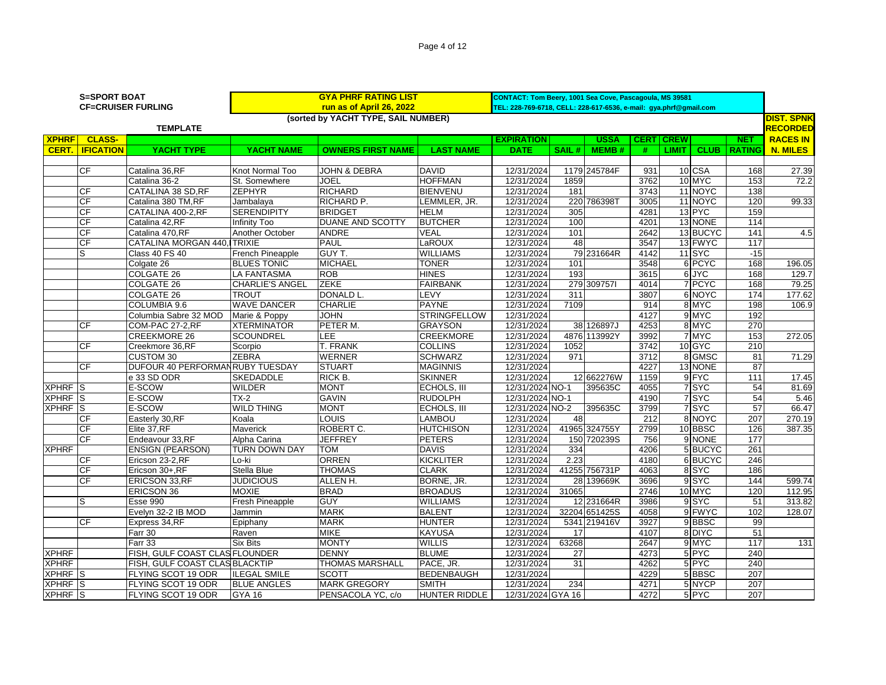| Page 4 of 12 |  |  |  |  |
|--------------|--|--|--|--|
|--------------|--|--|--|--|

|                           | <b>GYA PHRF RATING LIST</b><br><b>S=SPORT BOAT</b> |                                 |                        |                                     |                     | CONTACT: Tom Beery, 1001 Sea Cove, Pascagoula, MS 39581           |       |               |                  |                  |              |                   |                   |
|---------------------------|----------------------------------------------------|---------------------------------|------------------------|-------------------------------------|---------------------|-------------------------------------------------------------------|-------|---------------|------------------|------------------|--------------|-------------------|-------------------|
|                           |                                                    | <b>CF=CRUISER FURLING</b>       |                        | run as of April 26, 2022            |                     | TEL: 228-769-6718, CELL: 228-617-6536, e-mail: gya.phrf@gmail.com |       |               |                  |                  |              |                   |                   |
|                           |                                                    |                                 |                        | (sorted by YACHT TYPE, SAIL NUMBER) |                     |                                                                   |       |               |                  |                  |              |                   | <b>DIST. SPNK</b> |
|                           |                                                    | <b>TEMPLATE</b>                 |                        |                                     |                     |                                                                   |       |               |                  |                  |              |                   | <b>RECORDED</b>   |
| <b>XPHRF</b>              | <b>CLASS-</b>                                      |                                 |                        |                                     |                     | <b>EXPIRATION</b>                                                 |       | <b>USSA</b>   |                  | <b>CERT CREW</b> |              | <b>NET</b>        | <b>RACES IN</b>   |
| CERT.                     | <b>IFICATION</b>                                   | YACHT TYPE                      | <b>YACHT NAME</b>      | <b>OWNERS FIRST NAME</b>            | <b>LAST NAME</b>    | <b>DATE</b>                                                       | SAIL# | MEMB#         | #                |                  | LIMIT   CLUB | <b>RATING</b>     | <b>N. MILES</b>   |
|                           |                                                    |                                 |                        |                                     |                     |                                                                   |       |               |                  |                  |              |                   |                   |
|                           | <b>CF</b>                                          | Catalina 36, RF                 | Knot Normal Too        | <b>JOHN &amp; DEBRA</b>             | <b>DAVID</b>        | 12/31/2024                                                        |       | 1179 245784F  | 931              |                  | 10 CSA       | 168               | 27.39             |
|                           |                                                    | Catalina 36-2                   | St. Somewhere          | JOEL                                | <b>HOFFMAN</b>      | 12/31/2024                                                        | 1859  |               | 3762             |                  | 10 MYC       | 153               | 72.2              |
|                           | <b>CF</b>                                          | <b>CATALINA 38 SD, RF</b>       | <b>ZEPHYR</b>          | <b>RICHARD</b>                      | <b>BIENVENU</b>     | 12/31/2024                                                        | 181   |               | 3743             |                  | 11 NOYC      | 138               |                   |
|                           | <b>CF</b>                                          | Catalina 380 TM, RF             | Jambalaya              | RICHARD P.                          | LEMMLER, JR.        | 12/31/2024                                                        |       | 220 786398T   | 3005             |                  | 11 NOYC      | 120               | 99.33             |
|                           | <b>CF</b>                                          | CATALINA 400-2, RF              | <b>SERENDIPITY</b>     | <b>BRIDGET</b>                      | <b>HELM</b>         | 12/31/2024                                                        | 305   |               | 4281             |                  | 13 PYC       | 159               |                   |
|                           | <b>CF</b>                                          | Catalina 42,RF                  | Infinity Too           | DUANE AND SCOTTY                    | <b>BUTCHER</b>      | 12/31/2024                                                        | 100   |               | 4201             |                  | 13 NONE      | $\frac{114}{114}$ |                   |
|                           | <b>CF</b>                                          | Catalina 470,RF                 | Another October        | ANDRE                               | VEAL                | 12/31/2024                                                        | 101   |               | 2642             |                  | 13 BUCYC     | 141               | 4.5               |
|                           | <b>CF</b>                                          | CATALINA MORGAN 440, TRIXIE     |                        | <b>PAUL</b>                         | LaROUX              | 12/31/2024                                                        | 48    |               | 3547             |                  | 13 FWYC      | 117               |                   |
|                           | lS.                                                | Class 40 FS 40                  | French Pineapple       | GUY T.                              | <b>WILLIAMS</b>     | 12/31/2024                                                        |       | 79 231664R    | 4142             |                  | 11SYC        | $-15$             |                   |
|                           |                                                    | Colgate 26                      | <b>BLUES TONIC</b>     | <b>MICHAEL</b>                      | <b>TONER</b>        | 12/31/2024                                                        | 101   |               | 3548             |                  | 6 PCYC       | 168               | 196.05            |
|                           |                                                    | <b>COLGATE 26</b>               | <b>LA FANTASMA</b>     | <b>ROB</b>                          | <b>HINES</b>        | 12/31/2024                                                        | 193   |               | 3615             |                  | 6 JYC        | 168               | 129.7             |
|                           |                                                    | <b>COLGATE 26</b>               | <b>CHARLIE'S ANGEL</b> | <b>ZEKE</b>                         | <b>FAIRBANK</b>     | 12/31/2024                                                        |       | 279 3097571   | 4014             |                  | 7 PCYC       | 168               | 79.25             |
|                           |                                                    | <b>COLGATE 26</b>               | <b>TROUT</b>           | DONALD L.                           | LEVY                | 12/31/2024                                                        | 311   |               | 3807             |                  | 6 NOYC       | 174               | 177.62            |
|                           |                                                    | COLUMBIA 9.6                    | <b>WAVE DANCER</b>     | <b>CHARLIE</b>                      | <b>PAYNE</b>        | 12/31/2024                                                        | 7109  |               | 914              |                  | 8 MYC        | 198               | 106.9             |
|                           |                                                    | Columbia Sabre 32 MOD           | Marie & Poppy          | <b>JOHN</b>                         | <b>STRINGFELLOW</b> | 12/31/2024                                                        |       |               | 4127             |                  | 9 MYC        | 192               |                   |
|                           | <b>CF</b>                                          | COM-PAC 27-2.RF                 | <b>XTERMINATOR</b>     | PETER M.                            | <b>GRAYSON</b>      | 12/31/2024                                                        |       | 38 126897J    | 4253             |                  | 8 MYC        | 270               |                   |
|                           |                                                    | <b>CREEKMORE 26</b>             | <b>SCOUNDREL</b>       | LEE                                 | <b>CREEKMORE</b>    | 12/31/2024                                                        |       | 4876 113992Y  | 3992             |                  | 7 MYC        | 153               | 272.05            |
|                           | <b>CF</b>                                          | Creekmore 36,RF                 | Scorpio                | T. FRANK                            | <b>COLLINS</b>      | 12/31/2024                                                        | 1052  |               | 3742             |                  | 10 GYC       | $\overline{210}$  |                   |
|                           |                                                    | <b>CUSTOM 30</b>                | <b>ZEBRA</b>           | <b>WERNER</b>                       | <b>SCHWARZ</b>      | 12/31/2024                                                        | 971   |               | 3712             |                  | 8 GMSC       | 81                | 71.29             |
|                           | <b>CF</b>                                          | DUFOUR 40 PERFORMANRUBY TUESDAY |                        | <b>STUART</b>                       | <b>MAGINNIS</b>     | 12/31/2024                                                        |       |               | 4227             |                  | 13 NONE      | 87                |                   |
|                           |                                                    | e 33 SD ODR                     | <b>SKEDADDLE</b>       | RICK B.                             | <b>SKINNER</b>      | 12/31/2024                                                        |       | 12 662276W    | 1159             |                  | 9 FYC        | 111               | 17.45             |
| XPHRF <sup>S</sup>        |                                                    | E-SCOW                          | <b>WILDER</b>          | <b>MONT</b>                         | ECHOLS, III         | 12/31/2024 NO-1                                                   |       | 395635C       | 4055             |                  | $7$ SYC      | 54                | 81.69             |
| <b>XPHRF</b> S            |                                                    | E-SCOW                          | $TX-2$                 | <b>GAVIN</b>                        | <b>RUDOLPH</b>      | 12/31/2024 NO-1                                                   |       |               | 4190             |                  | 7 SYC        | 54                | 5.46              |
| <b>XPHRF</b> S            |                                                    | E-SCOW                          | <b>WILD THING</b>      | <b>MONT</b>                         | ECHOLS, III         | 12/31/2024 NO-2                                                   |       | 395635C       | 3799             |                  | 7SYC         | 57                | 66.47             |
|                           | <b>CF</b>                                          | Easterly 30, RF                 | Koala                  | LOUIS                               | <b>LAMBOU</b>       | 12/31/2024                                                        | 48    |               | $\overline{212}$ |                  | 8 NOYC       | $\overline{207}$  | 270.19            |
|                           | <b>CF</b>                                          | Elite 37.RF                     | Maverick               | ROBERT C.                           | <b>HUTCHISON</b>    | 12/31/2024                                                        |       | 41965 324755Y | 2799             |                  | 10BBSC       | 126               | 387.35            |
|                           | CF                                                 | Endeavour 33,RF                 | Alpha Carina           | <b>JEFFREY</b>                      | <b>PETERS</b>       | 12/31/2024                                                        |       | 150 720239S   | 756              |                  | 9 NONE       | 177               |                   |
| <b>XPHRF</b>              |                                                    | <b>ENSIGN (PEARSON)</b>         | <b>TURN DOWN DAY</b>   | <b>TOM</b>                          | <b>DAVIS</b>        | 12/31/2024                                                        | 334   |               | 4206             |                  | 5 BUCYC      | 261               |                   |
|                           | <b>CF</b>                                          | Ericson 23-2,RF                 | Lo-ki                  | <b>ORREN</b>                        | <b>KICKLITER</b>    | 12/31/2024                                                        | 2.23  |               | 4180             |                  | 6 BUCYC      | $\overline{246}$  |                   |
|                           | $\overline{CF}$                                    | Ericson 30+,RF                  | Stella Blue            | <b>THOMAS</b>                       | <b>CLARK</b>        | 12/31/2024                                                        |       | 41255 756731P | 4063             |                  | 8SYC         | 186               |                   |
|                           | <b>CF</b>                                          | ERICSON 33, RF                  | <b>JUDICIOUS</b>       | ALLENH.                             | BORNE, JR.          | 12/31/2024                                                        |       | 28 139669K    | 3696             |                  | $9$ SYC      | 144               | 599.74            |
|                           |                                                    | <b>ERICSON 36</b>               | <b>MOXIE</b>           | <b>BRAD</b>                         | <b>BROADUS</b>      | 12/31/2024                                                        | 31065 |               | 2746             |                  | 10 MYC       | 120               | 112.95            |
|                           | ls                                                 | Esse 990                        | Fresh Pineapple        | <b>GUY</b>                          | <b>WILLIAMS</b>     | 12/31/2024                                                        |       | 12 231664R    | 3986             |                  | 9SYC         | 51                | 313.82            |
|                           |                                                    | Evelyn 32-2 IB MOD              | Jammin                 | <b>MARK</b>                         | <b>BALENT</b>       | 12/31/2024                                                        |       | 32204 651425S | 4058             |                  | 9 FWYC       | 102               | 128.07            |
|                           | <b>CF</b>                                          | Express 34, RF                  | Epiphany               | <b>MARK</b>                         | <b>HUNTER</b>       | 12/31/2024                                                        |       | 5341 219416V  | 3927             |                  | 9BBSC        | 99                |                   |
|                           |                                                    | Farr 30                         | Raven                  | <b>MIKE</b>                         | <b>KAYUSA</b>       | 12/31/2024                                                        | 17    |               | 4107             |                  | 8 DIYC       | 51                |                   |
|                           |                                                    | Farr 33                         | <b>Six Bits</b>        | <b>MONTY</b>                        | <b>WILLIS</b>       | 12/31/2024                                                        | 63268 |               | 2647             |                  | 9 MYC        | 117               | 131               |
| <b>XPHRF</b>              |                                                    | FISH, GULF COAST CLAS FLOUNDER  |                        | <b>DENNY</b>                        | <b>BLUME</b>        | 12/31/2024                                                        | 27    |               | 4273             |                  | 5 PYC        | 240               |                   |
| <b>XPHRF</b>              |                                                    | FISH, GULF COAST CLAS BLACKTIP  |                        | <b>THOMAS MARSHALL</b>              | PACE, JR.           | 12/31/2024                                                        | 31    |               | 4262             |                  | 5 PYC        | 240               |                   |
| XPHRF S                   |                                                    | FLYING SCOT 19 ODR              | <b>ILEGAL SMILE</b>    | <b>SCOTT</b>                        | <b>BEDENBAUGH</b>   | 12/31/2024                                                        |       |               | 4229             |                  | 5BBSC        | 207               |                   |
| <b>XPHRF</b> S            |                                                    | <b>FLYING SCOT 19 ODR</b>       | <b>BLUE ANGLES</b>     | <b>MARK GREGORY</b>                 | <b>SMITH</b>        | 12/31/2024                                                        | 234   |               | 4271             |                  | 5 NYCP       | 207               |                   |
| <b>XPHRF</b> <sub>S</sub> |                                                    | <b>FLYING SCOT 19 ODR</b>       | <b>GYA 16</b>          | PENSACOLA YC, c/o                   | HUNTER RIDDLE       | 12/31/2024 GYA 16                                                 |       |               | 4272             |                  | 5 PYC        | 207               |                   |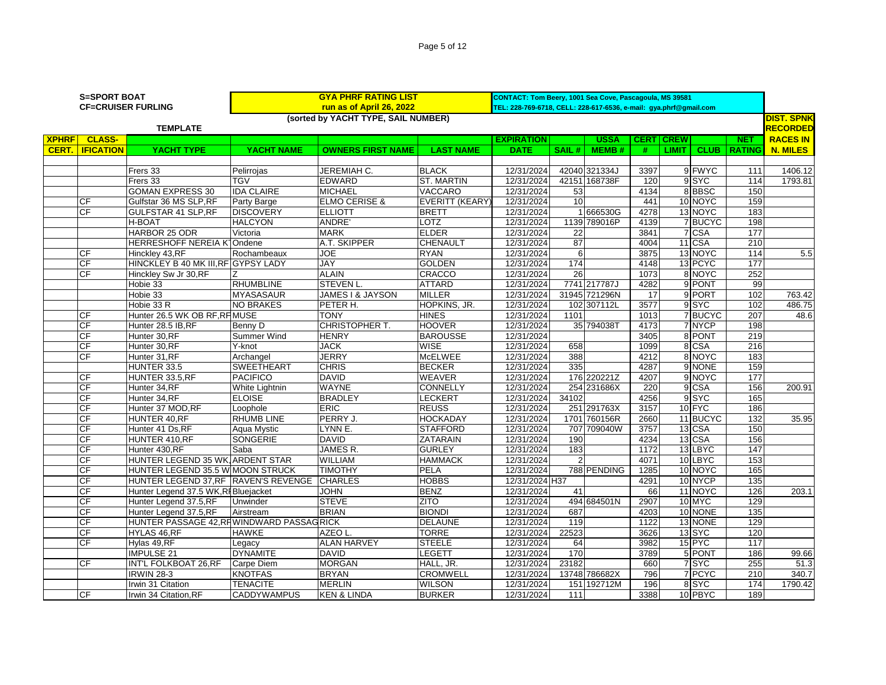|  | Page 5 of 12 |  |  |  |
|--|--------------|--|--|--|
|--|--------------|--|--|--|

|              | <b>S=SPORT BOAT</b> | <b>CF=CRUISER FURLING</b>                 |                    | <b>GYA PHRF RATING LIST</b><br>run as of April 26, 2022 |                   | CONTACT: Tom Beery, 1001 Sea Cove, Pascagoula, MS 39581<br>TEL: 228-769-6718, CELL: 228-617-6536, e-mail: gya.phrf@gmail.com |       |               |             |                            |               |                   |
|--------------|---------------------|-------------------------------------------|--------------------|---------------------------------------------------------|-------------------|------------------------------------------------------------------------------------------------------------------------------|-------|---------------|-------------|----------------------------|---------------|-------------------|
|              |                     |                                           |                    | (sorted by YACHT TYPE, SAIL NUMBER)                     |                   |                                                                                                                              |       |               |             |                            |               | <b>DIST. SPNK</b> |
|              |                     | <b>TEMPLATE</b>                           |                    |                                                         |                   |                                                                                                                              |       |               |             |                            |               | <b>RECORDED</b>   |
| <b>XPHRF</b> | <b>CLASS-</b>       |                                           |                    |                                                         |                   | <b>EXPIRATION</b>                                                                                                            |       | <b>USSA</b>   | <b>CERT</b> | <b>CREW</b>                | <b>NET</b>    | <b>RACES IN</b>   |
| CERT.        | <b>IFICATION</b>    | <b>YACHT TYPE</b>                         | <b>YACHT NAME</b>  | <b>OWNERS FIRST NAME</b>                                | <b>LAST NAME</b>  | <b>DATE</b>                                                                                                                  | SAIL# | <b>MEMB#</b>  | #           | CLUB <sub>I</sub><br>LIMIT | <b>RATING</b> | <b>N. MILES</b>   |
|              |                     |                                           |                    |                                                         |                   |                                                                                                                              |       |               |             |                            |               |                   |
|              |                     | Frers 33                                  | Pelirrojas         | JEREMIAH C.                                             | <b>BLACK</b>      | 12/31/2024                                                                                                                   |       | 42040 321334J | 3397        | 9 FWYC                     | 111           | 1406.12           |
|              |                     | Frers 33                                  | <b>TGV</b>         | <b>EDWARD</b>                                           | <b>ST. MARTIN</b> | 12/31/2024                                                                                                                   |       | 42151 168738F | 120         | 9 SYC                      | 114           | 1793.81           |
|              |                     | <b>GOMAN EXPRESS 30</b>                   | <b>IDA CLAIRE</b>  | <b>MICHAEL</b>                                          | VACCARO           | 12/31/2024                                                                                                                   | 53    |               | 4134        | 8BBSC                      | 150           |                   |
|              | <b>CF</b>           | Gulfstar 36 MS SLP, RF                    | Party Barge        | <b>ELMO CERISE &amp;</b>                                | EVERITT (KEARY)   | 12/31/2024                                                                                                                   | 10    |               | 441         | 10 NOYC                    | 159           |                   |
|              | CF                  | <b>GULFSTAR 41 SLP, RF</b>                | <b>DISCOVERY</b>   | <b>ELLIOTT</b>                                          | <b>BRETT</b>      | 12/31/2024                                                                                                                   |       | 1 666530G     | 4278        | 13 NOYC                    | 183           |                   |
|              |                     | H-BOAT                                    | <b>HALCYON</b>     | <b>ANDRE'</b>                                           | <b>LOTZ</b>       | 12/31/2024                                                                                                                   |       | 1139 789016P  | 4139        | 7 BUCYC                    | 198           |                   |
|              |                     | HARBOR 25 ODR                             | Victoria           | <b>MARK</b>                                             | <b>ELDER</b>      | 12/31/2024                                                                                                                   | 22    |               | 3841        | 7 CSA                      | 177           |                   |
|              |                     | <b>HERRESHOFF NEREIA K1Ondene</b>         |                    | A.T. SKIPPER                                            | <b>CHENAULT</b>   | 12/31/2024                                                                                                                   | 87    |               | 4004        | 11 CSA                     | 210           |                   |
|              | <b>CF</b>           | Hinckley 43,RF                            | Rochambeaux        | <b>JOE</b>                                              | <b>RYAN</b>       | 12/31/2024                                                                                                                   | 6     |               | 3875        | 13 NOYC                    | 114           | 5.5               |
|              | <b>CF</b>           | HINCKLEY B 40 MK III, RF GYPSY LADY       |                    | JAY                                                     | <b>GOLDEN</b>     | 12/31/2024                                                                                                                   | 174   |               | 4148        | 13 PCYC                    | 177           |                   |
|              | CF                  | Hinckley Sw Jr 30, RF                     |                    | <b>ALAIN</b>                                            | <b>CRACCO</b>     | 12/31/2024                                                                                                                   | 26    |               | 1073        | 8 NOYC                     | 252           |                   |
|              |                     | Hobie 33                                  | <b>RHUMBLINE</b>   | <b>STEVEN L</b>                                         | <b>ATTARD</b>     | 12/31/2024                                                                                                                   |       | 7741 217787J  | 4282        | 9 PONT                     | 99            |                   |
|              |                     | Hobie 33                                  | <b>MYASASAUR</b>   | JAMES I & JAYSON                                        | <b>MILLER</b>     | 12/31/2024                                                                                                                   |       | 31945 721296N | 17          | 9 PORT                     | 102           | 763.42            |
|              |                     | Hobie 33 R                                | <b>NO BRAKES</b>   | PETER H.                                                | HOPKINS, JR.      | 12/31/2024                                                                                                                   |       | 102 307112L   | 3577        | 9SYC                       | 102           | 486.75            |
|              | СF                  | Hunter 26.5 WK OB RF, RF MUSE             |                    | <b>TONY</b>                                             | <b>HINES</b>      | 12/31/2024                                                                                                                   | 1101  |               | 1013        | 7BUCYC                     | 207           | 48.6              |
|              | CF                  | Hunter 28.5 IB.RF                         | Benny D            | CHRISTOPHER T.                                          | <b>HOOVER</b>     | 12/31/2024                                                                                                                   |       | 35 794038T    | 4173        | 7 NYCP                     | 198           |                   |
|              | CF                  | Hunter 30, RF                             | Summer Wind        | <b>HENRY</b>                                            | <b>BAROUSSE</b>   | 12/31/2024                                                                                                                   |       |               | 3405        | 8 PONT                     | 219           |                   |
|              | CF                  | Hunter 30, RF                             | Y-knot             | <b>JACK</b>                                             | <b>WISE</b>       | 12/31/2024                                                                                                                   | 658   |               | 1099        | 8 CSA                      | 216           |                   |
|              | CF                  | Hunter 31, RF                             | Archangel          | <b>JERRY</b>                                            | <b>McELWEE</b>    | 12/31/2024                                                                                                                   | 388   |               | 4212        | 8 NOYC                     | 183           |                   |
|              |                     | HUNTER 33.5                               | <b>SWEETHEART</b>  | <b>CHRIS</b>                                            | <b>BECKER</b>     | 12/31/2024                                                                                                                   | 335   |               | 4287        | 9 NONE                     | 159           |                   |
|              | CF                  | HUNTER 33.5, RF                           | <b>PACIFICO</b>    | <b>DAVID</b>                                            | <b>WEAVER</b>     | 12/31/2024                                                                                                                   |       | 176 220221Z   | 4207        | 9 NOYC                     | 177           |                   |
|              | CF                  | Hunter 34,RF                              | White Lightnin     | <b>WAYNE</b>                                            | <b>CONNELLY</b>   | 12/31/2024                                                                                                                   |       | 254 231686X   | 220         | 9 CSA                      | 156           | 200.91            |
|              | CF                  | Hunter 34,RF                              | <b>ELOISE</b>      | <b>BRADLEY</b>                                          | <b>LECKERT</b>    | 12/31/2024                                                                                                                   | 34102 |               | 4256        | 9 <sub>SYC</sub>           | 165           |                   |
|              | CF                  | Hunter 37 MOD, RF                         | Loophole           | <b>ERIC</b>                                             | <b>REUSS</b>      | 12/31/2024                                                                                                                   |       | 251 291763X   | 3157        | 10 FYC                     | 186           |                   |
|              | CF                  | HUNTER 40, RF                             | <b>RHUMB LINE</b>  | PERRY J.                                                | <b>HOCKADAY</b>   | 12/31/2024                                                                                                                   |       | 1701 760156R  | 2660        | 11 BUCYC                   | 132           | 35.95             |
|              | CF                  | Hunter 41 Ds, RF                          | Aqua Mystic        | LYNN E.                                                 | <b>STAFFORD</b>   | 12/31/2024                                                                                                                   |       | 707 709040W   | 3757        | 13 CSA                     | 150           |                   |
|              | CF                  | HUNTER 410, RF                            | <b>SONGERIE</b>    | <b>DAVID</b>                                            | ZATARAIN          | 12/31/2024                                                                                                                   | 190   |               | 4234        | 13 CSA                     | 156           |                   |
|              | CF                  | Hunter 430, RF                            | Saba               | JAMES R.                                                | <b>GURLEY</b>     | 12/31/2024                                                                                                                   | 183   |               | 1172        | 13 LBYC                    | 147           |                   |
|              | CF                  | HUNTER LEGEND 35 WK ARDENT STAR           |                    | <b>WILLIAM</b>                                          | <b>HAMMACK</b>    | 12/31/2024                                                                                                                   |       |               | 4071        | 10 LBYC                    | 153           |                   |
|              | CF                  | HUNTER LEGEND 35.5 W MOON STRUCK          |                    | <b>TIMOTHY</b>                                          | <b>PELA</b>       | 12/31/2024                                                                                                                   |       | 788 PENDING   | 1285        | 10 NOYC                    | 165           |                   |
|              | CF                  | HUNTER LEGEND 37, RF RAVEN'S REVENGE      |                    | <b>CHARLES</b>                                          | <b>HOBBS</b>      | 12/31/2024 H37                                                                                                               |       |               | 4291        | 10 NYCP                    | 135           |                   |
|              | CF                  | Hunter Legend 37.5 WK, RI Bluejacket      |                    | <b>JOHN</b>                                             | <b>BENZ</b>       | 12/31/2024                                                                                                                   | 41    |               | 66          | 11 NOYC                    | 126           | 203.1             |
|              | CF                  | Hunter Legend 37.5,RF                     | Unwinder           | <b>STEVE</b>                                            | <b>ZITO</b>       | 12/31/2024                                                                                                                   |       | 494 684501N   | 2907        | 10 MYC                     | 129           |                   |
|              | CF                  | Hunter Legend 37.5,RF                     | Airstream          | <b>BRIAN</b>                                            | <b>BIONDI</b>     | 12/31/2024                                                                                                                   | 687   |               | 4203        | 10 NONE                    | 135           |                   |
|              | CF                  | HUNTER PASSAGE 42, RHWINDWARD PASSAG RICK |                    |                                                         | <b>DELAUNE</b>    | 12/31/2024                                                                                                                   | 119   |               | 1122        | 13 NONE                    | 129           |                   |
|              | CF                  | HYLAS 46,RF                               | <b>HAWKE</b>       | AZEO L.                                                 | <b>TORRE</b>      | 12/31/2024                                                                                                                   | 22523 |               | 3626        | 13 SYC                     | 120           |                   |
|              | CF                  | Hylas 49, RF                              | Legacy             | <b>ALAN HARVEY</b>                                      | <b>STEELE</b>     | 12/31/2024                                                                                                                   | 64    |               | 3982        | 15 PYC                     | 117           |                   |
|              |                     | <b>IMPULSE 21</b>                         | <b>DYNAMITE</b>    | <b>DAVID</b>                                            | <b>LEGETT</b>     | 12/31/2024                                                                                                                   | 170   |               | 3789        | 5 PONT                     | 186           | 99.66             |
|              | <b>CF</b>           | INT'L FOLKBOAT 26, RF                     | Carpe Diem         | <b>MORGAN</b>                                           | HALL, JR.         | 12/31/2024                                                                                                                   | 23182 |               | 660         | 7 SYC                      | 255           | 51.3              |
|              |                     | <b>IRWIN 28-3</b>                         | <b>KNOTFAS</b>     | <b>BRYAN</b>                                            | CROMWELL          | 12/31/2024                                                                                                                   |       | 13748 786682X | 796         | 7 PCYC                     | 210           | 340.7             |
|              |                     | Irwin 31 Citation                         | <b>TENACITE</b>    | <b>MERLIN</b>                                           | <b>WILSON</b>     | 12/31/2024                                                                                                                   |       | 151 192712M   | 196         | 8SYC                       | 174           | 1790.42           |
|              | <b>CF</b>           | Irwin 34 Citation, RF                     | <b>CADDYWAMPUS</b> | <b>KEN &amp; LINDA</b>                                  | <b>BURKER</b>     | 12/31/2024                                                                                                                   | 111   |               | 3388        | 10 PBYC                    | 189           |                   |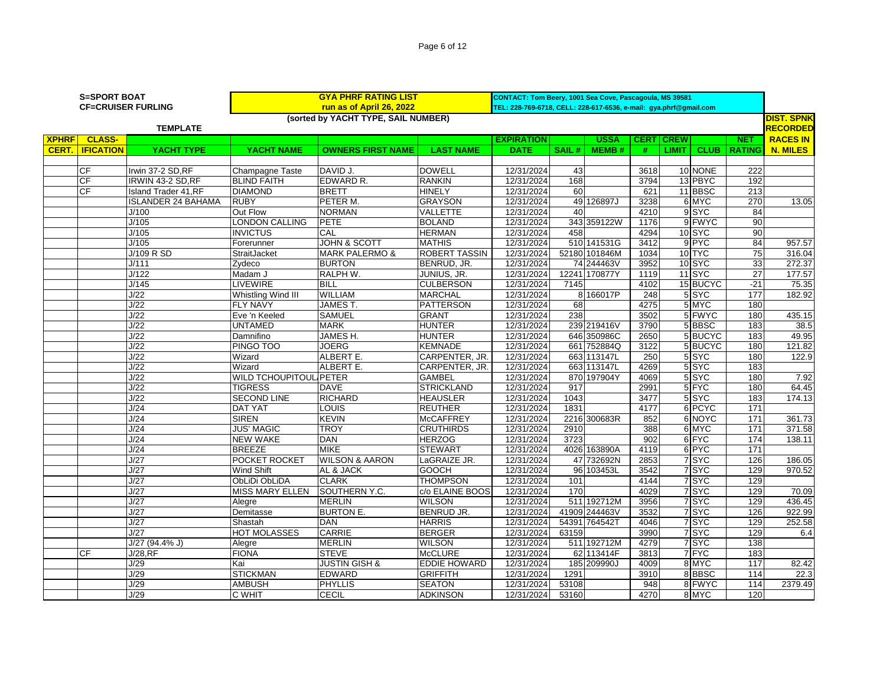Page 6 of 12

|              | <b>S=SPORT BOAT</b>      |                             |                               | <b>GYA PHRF RATING LIST</b>         |                      | CONTACT: Tom Beery, 1001 Sea Cove, Pascagoula, MS 39581           |               |               |      |                    |                  |                 |                   |
|--------------|--------------------------|-----------------------------|-------------------------------|-------------------------------------|----------------------|-------------------------------------------------------------------|---------------|---------------|------|--------------------|------------------|-----------------|-------------------|
|              |                          | <b>CF=CRUISER FURLING</b>   |                               | run as of April 26, 2022            |                      | TEL: 228-769-6718, CELL: 228-617-6536, e-mail: gya.phrf@gmail.com |               |               |      |                    |                  |                 |                   |
|              |                          |                             |                               | (sorted by YACHT TYPE, SAIL NUMBER) |                      |                                                                   |               |               |      |                    |                  |                 | <b>DIST. SPNK</b> |
|              |                          | <b>TEMPLATE</b>             |                               |                                     |                      |                                                                   |               |               |      |                    |                  |                 | <b>RECORDED</b>   |
| <b>XPHRF</b> | <b>CLASS-</b>            |                             |                               |                                     |                      | <b>EXPIRATION</b>                                                 |               | <b>USSA</b>   |      | <b>CERT CREW</b>   |                  | <b>NET</b>      | <b>RACES IN</b>   |
|              | <b>CERT.   IFICATION</b> | YACHT TYPE                  | <b>YACHT NAME</b>             | <b>OWNERS FIRST NAME</b>            | <b>LAST NAME</b>     | <b>DATE</b>                                                       | SAIL#         | <b>MEMB#</b>  | #    | LIMIT <sup>1</sup> | <b>CLUB</b>      | <b>RATING</b>   | <b>N. MILES</b>   |
|              |                          |                             |                               |                                     |                      |                                                                   |               |               |      |                    |                  |                 |                   |
|              | <b>CF</b>                | Irwin 37-2 SD, RF           | <b>Champagne Taste</b>        | DAVID J.                            | <b>DOWELL</b>        | 12/31/2024                                                        | 43            |               | 3618 |                    | 10 NONE          | 222             |                   |
|              | CF                       | IRWIN 43-2 SD, RF           | <b>BLIND FAITH</b>            | EDWARD R.                           | <b>RANKIN</b>        | 12/31/2024                                                        | 168           |               | 3794 |                    | 13 PBYC          | 192             |                   |
|              | CF                       | <b>Island Trader 41, RF</b> | <b>DIAMOND</b>                | <b>BRETT</b>                        | <b>HINELY</b>        | 12/31/2024                                                        | 60            |               | 621  |                    | 11 BBSC          | 213             |                   |
|              |                          | <b>ISLANDER 24 BAHAMA</b>   | <b>RUBY</b>                   | PETER M.                            | <b>GRAYSON</b>       | 12/31/2024                                                        |               | 49 126897J    | 3238 |                    | 6 MYC            | 270             | 13.05             |
|              |                          | J/100                       | Out Flow                      | <b>NORMAN</b>                       | <b>VALLETTE</b>      | 12/31/2024                                                        | 40            |               | 4210 |                    | 9SYC             | 84              |                   |
|              |                          | J/105                       | <b>LONDON CALLING</b>         | <b>PETE</b>                         | <b>BOLAND</b>        | 12/31/2024                                                        |               | 343 359122W   | 1176 |                    | 9 FWYC           | 90              |                   |
|              |                          | J/105                       | <b>INVICTUS</b>               | CAL                                 | <b>HERMAN</b>        | 12/31/2024                                                        | 458           |               | 4294 |                    | 10 SYC           | 90              |                   |
|              |                          | J/105                       | Forerunner                    | <b>JOHN &amp; SCOTT</b>             | <b>MATHIS</b>        | 12/31/2024                                                        |               | 510 141531G   | 3412 |                    | $9$ PYC          | 84              | 957.57            |
|              |                          | J/109 R SD                  | StraitJacket                  | <b>MARK PALERMO &amp;</b>           | <b>ROBERT TASSIN</b> | 12/31/2024                                                        |               | 52180 101846M | 1034 |                    | 10 TYC           | 75              | 316.04            |
|              |                          | J/111                       | Zydeco                        | <b>BURTON</b>                       | BENRUD, JR.          | 12/31/2024                                                        |               | 74 244463V    | 3952 |                    | 10 SYC           | 33              | 272.37            |
|              |                          | J/122                       | Madam J                       | RALPH W.                            | JUNIUS, JR.          | 12/31/2024                                                        | 12241 170877Y |               | 1119 |                    | $11$ SYC         | $\overline{27}$ | 177.57            |
|              |                          | J/145                       | LIVEWIRE                      | <b>BILL</b>                         | <b>CULBERSON</b>     | 12/31/2024                                                        | 7145          |               | 4102 |                    | 15 BUCYC         | $-21$           | 75.35             |
|              |                          | J/22                        | Whistling Wind III            | <b>WILLIAM</b>                      | <b>MARCHAL</b>       | 12/31/2024                                                        |               | 8 166017P     | 248  |                    | 5SYC             | 177             | 182.92            |
|              |                          | J/22                        | <b>FLY NAVY</b>               | JAMES T.                            | <b>PATTERSON</b>     | 12/31/2024                                                        | 68            |               | 4275 |                    | 5 MYC            | 180             |                   |
|              |                          | J/22                        | Eve 'n Keeled                 | <b>SAMUEL</b>                       | <b>GRANT</b>         | 12/31/2024                                                        | 238           |               | 3502 |                    | 5 FWYC           | 180             | 435.15            |
|              |                          | J/22                        | <b>UNTAMED</b>                | <b>MARK</b>                         | <b>HUNTER</b>        | 12/31/2024                                                        |               | 239 219416V   | 3790 |                    | 5 BBSC           | 183             | 38.5              |
|              |                          | J/22                        | Damnifino                     | JAMES H.                            | <b>HUNTER</b>        | 12/31/2024                                                        |               | 646 350986C   | 2650 |                    | 5BUCYC           | 183             | 49.95             |
|              |                          | J/22                        | PINGO TOO                     | <b>JOERG</b>                        | <b>KEMNADE</b>       | 12/31/2024                                                        | 661           | 752884Q       | 3122 |                    | 5 BUCYC          | 180             | 121.82            |
|              |                          | J/22                        | Wizard                        | ALBERT E.                           | CARPENTER, JR.       | 12/31/2024                                                        |               | 663 113147L   | 250  |                    | 5SYC             | 180             | 122.9             |
|              |                          | J/22                        | Wizard                        | ALBERT E.                           | CARPENTER, JR.       | 12/31/2024                                                        |               | 663 113147L   | 4269 |                    | $5$ $S$ YC       | 183             |                   |
|              |                          | J/22                        | <b>WILD TCHOUPITOUL PETER</b> |                                     | <b>GAMBEL</b>        | 12/31/2024                                                        |               | 870 197904Y   | 4069 |                    | 5SYC             | 180             | 7.92              |
|              |                          | J/22                        | <b>TIGRESS</b>                | <b>DAVE</b>                         | <b>STRICKLAND</b>    | 12/31/2024                                                        | 917           |               | 2991 |                    | $5$ FYC          | 180             | 64.45             |
|              |                          | J/22                        | <b>SECOND LINE</b>            | <b>RICHARD</b>                      | <b>HEAUSLER</b>      | 12/31/2024                                                        | 1043          |               | 3477 |                    | $5$ $S$ YC       | 183             | 174.13            |
|              |                          | J/24                        | <b>DAT YAT</b>                | LOUIS                               | <b>REUTHER</b>       | 12/31/2024                                                        | 1831          |               | 4177 |                    | 6 PCYC           | 171             |                   |
|              |                          | J/24                        | <b>SIREN</b>                  | <b>KEVIN</b>                        | <b>McCAFFREY</b>     | 12/31/2024                                                        |               | 2216 300683R  | 852  |                    | 6 NOYC           | 171             | 361.73            |
|              |                          | J/24                        | <b>JUS' MAGIC</b>             | <b>TROY</b>                         | <b>CRUTHIRDS</b>     | 12/31/2024                                                        | 2910          |               | 388  |                    | 6 MYC            | 171             | 371.58            |
|              |                          | J/24                        | <b>NEW WAKE</b>               | <b>DAN</b>                          | <b>HERZOG</b>        | 12/31/2024                                                        | 3723          |               | 902  |                    | 6 FYC            | 174             | 138.11            |
|              |                          | J/24                        | <b>BREEZE</b>                 | <b>MIKE</b>                         | <b>STEWART</b>       | 12/31/2024                                                        |               | 4026 163890A  | 4119 |                    | 6 PYC            | 171             |                   |
|              |                          | J/27                        | POCKET ROCKET                 | <b>WILSON &amp; AARON</b>           | LaGRAIZE JR.         | 12/31/2024                                                        |               | 47 732692N    | 2853 |                    | 7SYC             | 126             | 186.05            |
|              |                          | J/27                        | Wind Shift                    | AL & JACK                           | <b>GOOCH</b>         | 12/31/2024                                                        |               | 96 103453L    | 3542 |                    | 7 SYC            | 129             | 970.52            |
|              |                          | J/27                        | <b>ObLiDi ObLiDA</b>          | <b>CLARK</b>                        | <b>THOMPSON</b>      | 12/31/2024                                                        | 101           |               | 4144 |                    | 7 <sub>SYC</sub> | 129             |                   |
|              |                          | J/27                        | <b>MISS MARY ELLEN</b>        | SOUTHERN Y.C.                       | c/o ELAINE BOOS      | 12/31/2024                                                        | 170           |               | 4029 |                    | 7 SYC            | 129             | 70.09             |
|              |                          | J/27                        | Alegre                        | <b>MERLIN</b>                       | <b>WILSON</b>        | 12/31/2024                                                        |               | 511 192712M   | 3956 |                    | 7 SYC            | 129             | 436.45            |
|              |                          | J/27                        | Demitasse                     | <b>BURTON E.</b>                    | BENRUD JR.           | 12/31/2024                                                        | 41909 244463V |               | 3532 |                    | 7SYC             | 126             | 922.99            |
|              |                          | J/27                        | Shastah                       | <b>DAN</b>                          | <b>HARRIS</b>        | 12/31/2024                                                        | 54391 764542T |               | 4046 |                    | 7 SYC            | 129             | 252.58            |
|              |                          | J/27                        | <b>HOT MOLASSES</b>           | <b>CARRIE</b>                       | <b>BERGER</b>        | 12/31/2024                                                        | 63159         |               | 3990 |                    | 7 SYC            | 129             | 6.4               |
|              |                          | J/27 (94.4% J)              | Alegre                        | <b>MERLIN</b>                       | <b>WILSON</b>        | 12/31/2024                                                        |               | 511 192712M   | 4279 |                    | 7SYC             | 138             |                   |
|              | <b>CF</b>                | J/28, RF                    | <b>FIONA</b>                  | <b>STEVE</b>                        | <b>McCLURE</b>       | 12/31/2024                                                        |               | 62 113414F    | 3813 |                    | 7FYC             | 183             |                   |
|              |                          | J/29                        | Kai                           | <b>JUSTIN GISH &amp;</b>            | <b>EDDIE HOWARD</b>  | 12/31/2024                                                        |               | 185 209990J   | 4009 |                    | 8 MYC            | 117             | 82.42             |
|              |                          | J/29                        | <b>STICKMAN</b>               | EDWARD                              | GRIFFITH             | 12/31/2024                                                        | 1291          |               | 3910 |                    | 8BBSC            | 114             | 22.3              |
|              |                          | J/29                        | <b>AMBUSH</b>                 | <b>PHYLLIS</b>                      | <b>SEATON</b>        | 12/31/2024                                                        | 53108         |               | 948  |                    | 8 FWYC           | 114             | 2379.49           |
|              |                          | J/29                        | <b>C WHIT</b>                 | <b>CECIL</b>                        | <b>ADKINSON</b>      | 12/31/2024                                                        | 53160         |               | 4270 |                    | 8 MYC            | 120             |                   |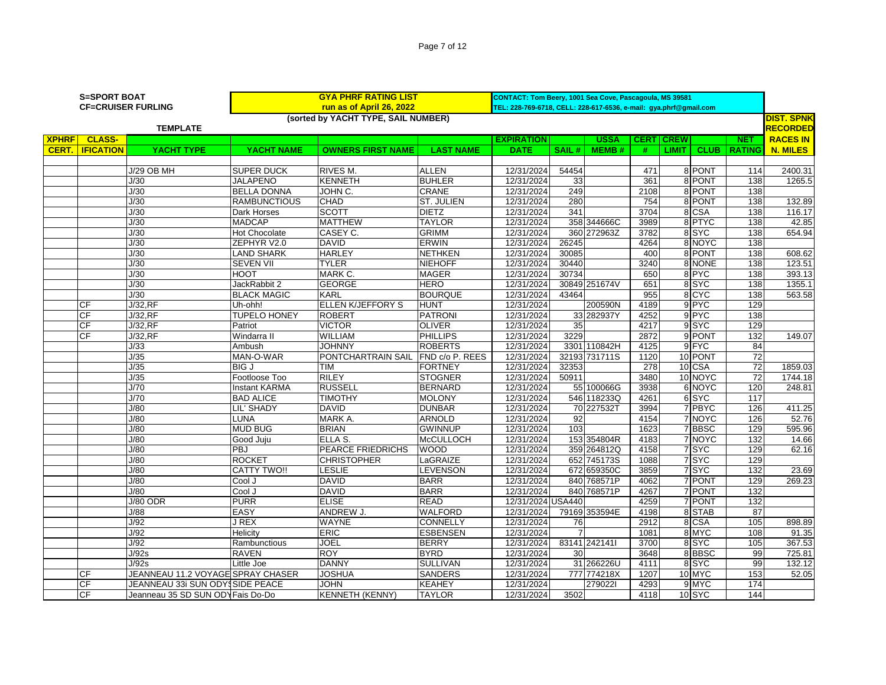|              | <b>S=SPORT BOAT</b> | <b>CF=CRUISER FURLING</b> |                     | <b>GYA PHRF RATING LIST</b><br>run as of April 26, 2022<br>(sorted by YACHT TYPE, SAIL NUMBER) |                   | CONTACT: Tom Beery, 1001 Sea Cove, Pascagoula, MS 39581<br>TEL: 228-769-6718, CELL: 228-617-6536, e-mail: gya.phrf@gmail.com |          |              |             |              |             |               | <b>DIST. SPNK</b> |
|--------------|---------------------|---------------------------|---------------------|------------------------------------------------------------------------------------------------|-------------------|------------------------------------------------------------------------------------------------------------------------------|----------|--------------|-------------|--------------|-------------|---------------|-------------------|
|              |                     | <b>TEMPLATE</b>           |                     |                                                                                                |                   |                                                                                                                              |          |              |             |              |             |               | <b>RECORDED</b>   |
| <b>XPHRF</b> | <b>CLASS-</b>       |                           |                     |                                                                                                |                   | <b>EXPIRATION</b>                                                                                                            |          | USSA         | <b>CERT</b> | <b>CREW</b>  |             | <b>NET</b>    | <b>RACES IN</b>   |
| CERT.        | <b>IFICATION</b>    | YACHT TYPE                | YACHT NAME          | <b>OWNERS FIRST NAME</b>                                                                       | <b>LAST NAME</b>  | <b>DATE</b>                                                                                                                  | SAIL $#$ | <b>MEMB#</b> |             | <u>LIMIT</u> | <b>CLUB</b> | <b>RATING</b> | <b>N. MILES</b>   |
|              |                     |                           |                     |                                                                                                |                   |                                                                                                                              |          |              |             |              |             |               |                   |
|              |                     | <b>J/29 OB MH</b>         | <b>SUPER DUCK</b>   | <b>RIVES M.</b>                                                                                | <b>ALLEN</b>      | 12/31/2024                                                                                                                   | 54454    |              | 471         |              | 8 PONT      | 114           | 2400.31           |
|              |                     | J/30                      | JALAPENO            | <b>KENNETH</b>                                                                                 | <b>BUHLER</b>     | 12/31/2024                                                                                                                   | 33       |              | 361         |              | 8 PONT      | 138           | 1265.5            |
|              |                     | J/30                      | <b>IBELLA DONNA</b> | JOHN C.                                                                                        | <b>CRANE</b>      | 12/31/2024                                                                                                                   | 249      |              | 2108        |              | 8 PONT      | 138           |                   |
|              |                     | J/30                      | <b>RAMBUNCTIOUS</b> | <b>CHAD</b>                                                                                    | <b>ST. JULIEN</b> | 12/31/2024                                                                                                                   | 280      |              | 754         |              | 8 PONT      | 138           | 132.89            |
|              |                     | J/30                      | Dark Horses         | <b>ISCOTT</b>                                                                                  | <b>DIETZ</b>      | 12/31/2024                                                                                                                   | 341      |              | 3704        |              | 8 CSA       | 138           | 116.17            |
|              |                     | J/30                      | <b>MADCAP</b>       | <b>MATTHEW</b>                                                                                 | TAYLOR            | 12/31/2024                                                                                                                   |          | 358 344666C  | 3989        |              | 8 PTYC      | 138           | 42.85             |
|              |                     | J/30                      | Hot Chocolate       | CASEY C.                                                                                       | <b>GRIMM</b>      | 12/31/2024                                                                                                                   |          | 360 272963Z  | 3782        |              | 8 SYC       | 138           | 654.94            |
|              |                     | 1/30                      | ZEPHYR V20          | DAVID.                                                                                         | <b>FRWIN</b>      | 12/31/2024                                                                                                                   | 26245    |              | 4264        |              | 8 NOYC      | 138           |                   |

| <b>CERT.   IFICATION</b> | YACHT TYPE                        | YACHT NAME           | <b>OWNERS FIRST NAME</b>           | <b>LAST NAME</b>  | <b>DATE</b>       | SAIL $#$        | MEMB#         | #    | <b>LIMIT</b> |         |                  | <b>CLUB RATING N. MILES</b> |
|--------------------------|-----------------------------------|----------------------|------------------------------------|-------------------|-------------------|-----------------|---------------|------|--------------|---------|------------------|-----------------------------|
|                          |                                   |                      |                                    |                   |                   |                 |               |      |              |         |                  |                             |
|                          | <b>J/29 OB MH</b>                 | <b>SUPER DUCK</b>    | RIVES M.                           | <b>ALLEN</b>      | 12/31/2024        | 54454           |               | 471  |              | 8 PONT  | 114              | 2400.31                     |
|                          | J/30                              | <b>JALAPENO</b>      | <b>KENNETH</b>                     | <b>BUHLER</b>     | 12/31/2024        | 33              |               | 361  |              | 8 PONT  | 138              | 1265.5                      |
|                          | J/30                              | <b>BELLA DONNA</b>   | JOHN C.                            | CRANE             | 12/31/2024        | 249             |               | 2108 |              | 8 PONT  | 138              |                             |
|                          | J/30                              | <b>RAMBUNCTIOUS</b>  | <b>CHAD</b>                        | <b>ST. JULIEN</b> | 12/31/2024        | 280             |               | 754  |              | 8 PONT  | 138              | 132.89                      |
|                          | J/30                              | Dark Horses          | <b>SCOTT</b>                       | <b>DIETZ</b>      | 12/31/2024        | 341             |               | 3704 |              | 8 CSA   | 138              | 116.17                      |
|                          | J/30                              | <b>MADCAP</b>        | <b>MATTHEW</b>                     | <b>TAYLOR</b>     | 12/31/2024        |                 | 358 344666C   | 3989 |              | 8 PTYC  | 138              | 42.85                       |
|                          | J/30                              | <b>Hot Chocolate</b> | CASEY C.                           | <b>GRIMM</b>      | 12/31/2024        |                 | 360 272963Z   | 3782 |              | 8SYC    | 138              | 654.94                      |
|                          | J/30                              | ZEPHYR V2.0          | <b>DAVID</b>                       | <b>ERWIN</b>      | 12/31/2024        | 26245           |               | 4264 |              | 8 NOYC  | 138              |                             |
|                          | J/30                              | <b>LAND SHARK</b>    | <b>HARLEY</b>                      | <b>NETHKEN</b>    | 12/31/2024        | 30085           |               | 400  |              | 8 PONT  | 138              | 608.62                      |
|                          | J/30                              | <b>SEVEN VII</b>     | <b>TYLER</b>                       | <b>NIEHOFF</b>    | 12/31/2024        | 30440           |               | 3240 |              | 8 NONE  | 138              | 123.51                      |
|                          | J/30                              | <b>HOOT</b>          | MARK C.                            | <b>MAGER</b>      | 12/31/2024        | 30734           |               | 650  |              | 8 PYC   | 138              | 393.13                      |
|                          | J/30                              | JackRabbit 2         | <b>GEORGE</b>                      | <b>HERO</b>       | 12/31/2024        |                 | 30849 251674V | 651  |              | 8 SYC   | 138              | 1355.1                      |
|                          | J/30                              | <b>BLACK MAGIC</b>   | KARL                               | <b>BOURQUE</b>    | 12/31/2024        | 43464           |               | 955  |              | 8 CYC   | 138              | 563.58                      |
| <b>CF</b>                | J/32,RF                           | Uh-ohh!              | <b>ELLEN K/JEFFORY S</b>           | <b>HUNT</b>       | 12/31/2024        |                 | 200590N       | 4189 |              | 9 PYC   | 129              |                             |
| CF                       | J/32,RF                           | <b>TUPELO HONEY</b>  | <b>ROBERT</b>                      | <b>PATRONI</b>    | 12/31/2024        |                 | 33 282937Y    | 4252 |              | 9 PYC   | 138              |                             |
| CF                       | J/32,RF                           | Patriot              | <b>VICTOR</b>                      | <b>OLIVER</b>     | 12/31/2024        | 35              |               | 4217 |              | $9$ SYC | 129              |                             |
| CF                       | J/32,RF                           | Windarra II          | <b>WILLIAM</b>                     | <b>PHILLIPS</b>   | 12/31/2024        | 3229            |               | 2872 |              | 9 PONT  | 132              | 149.07                      |
|                          | J/33                              | Ambush               | <b>JOHNNY</b>                      | <b>ROBERTS</b>    | 12/31/2024        |                 | 3301 110842H  | 4125 |              | 9 FYC   | 84               |                             |
|                          | J/35                              | MAN-O-WAR            | PONTCHARTRAIN SAIL FND c/o P. REES |                   | 12/31/2024        |                 | 32193 731711S | 1120 |              | 10 PONT | 72               |                             |
|                          | J/35                              | <b>BIG J</b>         | <b>TIM</b>                         | <b>FORTNEY</b>    | 12/31/2024        | 32353           |               | 278  |              | 10 CSA  | $\overline{72}$  | 1859.03                     |
|                          | J/35                              | Footloose Too        | <b>RILEY</b>                       | <b>STOGNER</b>    | 12/31/2024        | 50911           |               | 3480 |              | 10 NOYC | $\overline{72}$  | 1744.18                     |
|                          | J/70                              | <b>Instant KARMA</b> | <b>RUSSELL</b>                     | <b>BERNARD</b>    | 12/31/2024        |                 | 55 100066G    | 3938 |              | 6 NOYC  | 120              | 248.81                      |
|                          | J/70                              | <b>BAD ALICE</b>     | <b>TIMOTHY</b>                     | <b>MOLONY</b>     | 12/31/2024        |                 | 546 118233Q   | 4261 |              | $6$ SYC | 117              |                             |
|                          | J/80                              | LIL' SHADY           | <b>DAVID</b>                       | <b>DUNBAR</b>     | 12/31/2024        |                 | 70 227532T    | 3994 |              | 7 PBYC  | 126              | 411.25                      |
|                          | J/80                              | LUNA                 | MARK A.                            | <b>ARNOLD</b>     | 12/31/2024        | 92              |               | 4154 |              | 7 NOYC  | 126              | 52.76                       |
|                          | J/80                              | <b>MUD BUG</b>       | <b>BRIAN</b>                       | <b>GWINNUP</b>    | 12/31/2024        | 103             |               | 1623 |              | 7BBSC   | 129              | 595.96                      |
|                          | J/80                              | Good Juju            | ELLA S.                            | <b>McCULLOCH</b>  | 12/31/2024        |                 | 153 354804R   | 4183 |              | 7 NOYC  | 132              | 14.66                       |
|                          | J/80                              | <b>PBJ</b>           | <b>PEARCE FRIEDRICHS</b>           | <b>WOOD</b>       | 12/31/2024        |                 | 359 264812Q   | 4158 |              | 7SYC    | 129              | 62.16                       |
|                          | J/80                              | <b>ROCKET</b>        | <b>CHRISTOPHER</b>                 | LaGRAIZE          | 12/31/2024        |                 | 652 745173S   | 1088 |              | 7 SYC   | 129              |                             |
|                          | J/80                              | <b>CATTY TWO!!</b>   | <b>LESLIE</b>                      | <b>LEVENSON</b>   | 12/31/2024        |                 | 672 659350C   | 3859 |              | 7 SYC   | 132              | 23.69                       |
|                          | J/80                              | Cool J               | <b>DAVID</b>                       | <b>BARR</b>       | 12/31/2024        |                 | 840 768571P   | 4062 |              | 7 PONT  | 129              | 269.23                      |
|                          | J/80                              | Cool J               | <b>DAVID</b>                       | <b>BARR</b>       | 12/31/2024        |                 | 840 768571P   | 4267 |              | 7 PONT  | 132              |                             |
|                          | J/80 ODR                          | <b>PURR</b>          | <b>ELISE</b>                       | <b>READ</b>       | 12/31/2024 USA440 |                 |               | 4259 |              | 7 PONT  | $\overline{132}$ |                             |
|                          | J/88                              | <b>EASY</b>          | ANDREW J.                          | <b>WALFORD</b>    | 12/31/2024        |                 | 79169 353594E | 4198 |              | 8 STAB  | $\overline{87}$  |                             |
|                          | J/92                              | <b>J REX</b>         | <b>WAYNE</b>                       | <b>CONNELLY</b>   | 12/31/2024        | 76              |               | 2912 |              | 8 CSA   | 105              | 898.89                      |
|                          | J/92                              | <b>Helicity</b>      | <b>ERIC</b>                        | <b>ESBENSEN</b>   | 12/31/2024        | $\overline{7}$  |               | 1081 |              | 8 MYC   | 108              | 91.35                       |
|                          | J/92                              | Rambunctious         | <b>JOEL</b>                        | <b>BERRY</b>      | 12/31/2024        |                 | 83141 2421411 | 3700 |              | 8SYC    | 105              | 367.53                      |
|                          | J/92s                             | <b>RAVEN</b>         | <b>ROY</b>                         | <b>BYRD</b>       | 12/31/2024        | 30 <sup>1</sup> |               | 3648 |              | 8BBSC   | 99               | 725.81                      |
|                          | J/92s                             | Little Joe           | <b>DANNY</b>                       | <b>SULLIVAN</b>   | 12/31/2024        |                 | 31 266226U    | 4111 |              | 8SYC    | 99               | 132.12                      |
| <b>CF</b>                | JEANNEAU 11.2 VOYAGE SPRAY CHASER |                      | <b>JOSHUA</b>                      | SANDERS           | 12/31/2024        |                 | 777 774218X   | 1207 |              | 10 MYC  | 153              | 52.05                       |
| CF                       | JEANNEAU 33i SUN ODYSSIDE PEACE   |                      | <b>JOHN</b>                        | <b>KEAHEY</b>     | 12/31/2024        |                 | 2790221       | 4293 |              | 9 MYC   | 174              |                             |
| CF                       | Jeanneau 35 SD SUN ODY Fais Do-Do |                      | <b>KENNETH (KENNY)</b>             | <b>TAYLOR</b>     | 12/31/2024        | 3502            |               | 4118 |              | 10 SYC  | 144              |                             |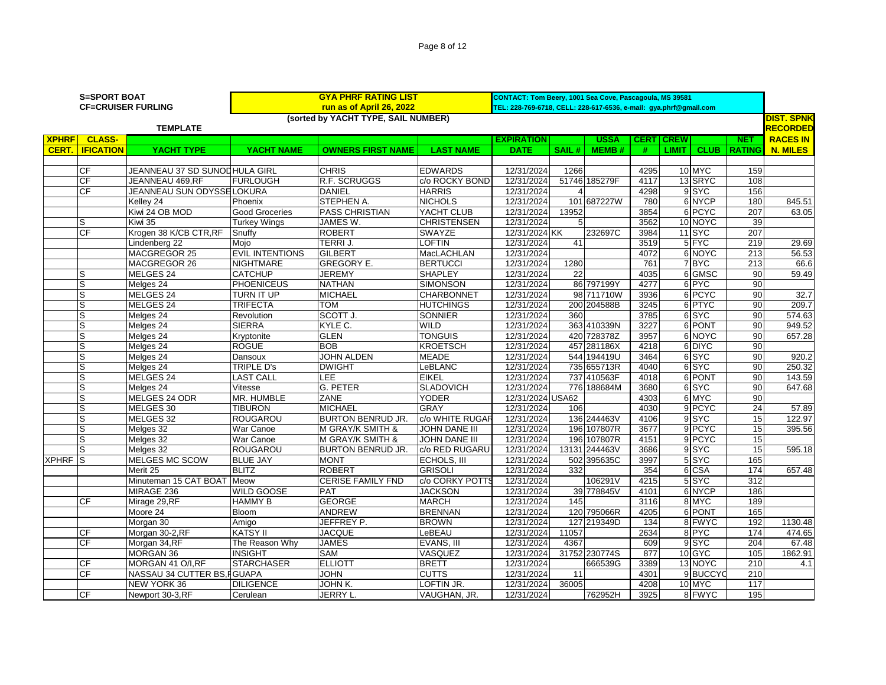|              | <b>S=SPORT BOAT</b> | <b>CF=CRUISER FURLING</b>     | <b>GYA PHRF RATING LIST</b><br>run as of April 26, 2022 |                                     |                    |                   | CONTACT: Tom Beery, 1001 Sea Cove, Pascagoula, MS 39581<br>TEL: 228-769-6718, CELL: 228-617-6536, e-mail: gya.phrf@gmail.com |               |             |              |               |                  |                 |
|--------------|---------------------|-------------------------------|---------------------------------------------------------|-------------------------------------|--------------------|-------------------|------------------------------------------------------------------------------------------------------------------------------|---------------|-------------|--------------|---------------|------------------|-----------------|
|              |                     |                               |                                                         | (sorted by YACHT TYPE, SAIL NUMBER) |                    |                   |                                                                                                                              |               |             |              |               |                  | DIST. SPNK      |
|              |                     | <b>TEMPLATE</b>               |                                                         |                                     |                    |                   |                                                                                                                              |               |             |              |               |                  | <b>RECORDED</b> |
| <b>XPHRF</b> | <b>CLASS-</b>       |                               |                                                         |                                     |                    | <b>EXPIRATION</b> |                                                                                                                              | <b>USSA</b>   | <b>CERT</b> | <b>CREW</b>  |               | <b>NET</b>       | <b>RACES IN</b> |
| CERT.        | <b>IFICATION</b>    | YACHT TYPE                    | YACHT NAME                                              | <b>OWNERS FIRST NAME</b>            | <b>LAST NAME</b>   | <b>DATE</b>       | SAIL#                                                                                                                        | MEMB#         | #           | <b>LIMIT</b> | <b>CLUB</b>   | <b>RATING</b>    | <b>N. MILES</b> |
|              |                     |                               |                                                         |                                     |                    |                   |                                                                                                                              |               |             |              |               |                  |                 |
|              | CF                  | JEANNEAU 37 SD SUNODHULA GIRL |                                                         | <b>CHRIS</b>                        | <b>EDWARDS</b>     | 12/31/2024        | 1266                                                                                                                         |               | 4295        |              | 10 MYC        | 159              |                 |
|              | CF                  | JEANNEAU 469,RF               | <b>FURLOUGH</b>                                         | R.F. SCRUGGS                        | c/o ROCKY BOND     | 12/31/2024        |                                                                                                                              | 51746 185279F | 4117        |              | 13 SRYC       | 108              |                 |
|              | CF                  | JEANNEAU SUN ODYSSE LOKURA    |                                                         | <b>DANIEL</b>                       | <b>HARRIS</b>      | 12/31/2024        |                                                                                                                              |               | 4298        |              | 9SYC          | 156              |                 |
|              |                     | Kelley 24                     | Phoenix                                                 | STEPHEN A.                          | <b>NICHOLS</b>     | 12/31/2024        |                                                                                                                              | 101 687227W   | 780         |              | 6 NYCP        | 180              | 845.51          |
|              |                     | Kiwi 24 OB MOD                | <b>Good Groceries</b>                                   | <b>PASS CHRISTIAN</b>               | YACHT CLUB         | 12/31/2024        | 13952                                                                                                                        |               | 3854        |              | 6 PCYC        | 207              | 63.05           |
|              | S                   | Kiwi 35                       | <b>Turkey Wings</b>                                     | JAMES W.                            | <b>CHRISTENSEN</b> | 12/31/2024        | 5                                                                                                                            |               | 3562        |              | 10 NOYC       | 39               |                 |
|              | CF                  | Krogen 38 K/CB CTR, RF        | Snuffy                                                  | <b>ROBERT</b>                       | SWAYZE             | 12/31/2024 KK     |                                                                                                                              | 232697C       | 3984        |              | <b>11 SYC</b> | 207              |                 |
|              |                     | Lindenberg 22                 | Mojo                                                    | <b>TERRIJ.</b>                      | <b>LOFTIN</b>      | 12/31/2024        | 41                                                                                                                           |               | 3519        |              | 5 FYC         | 219              | 29.69           |
|              |                     | MACGREGOR 25                  | <b>EVIL INTENTIONS</b>                                  | <b>GILBERT</b>                      | MacLACHLAN         | 12/31/2024        |                                                                                                                              |               | 4072        |              | 6 NOYC        | 213              | 56.53           |
|              |                     | MACGREGOR 26                  | <b>NIGHTMARE</b>                                        | <b>GREGORY E.</b>                   | <b>BERTUCCI</b>    | 12/31/2024        | 1280                                                                                                                         |               | 761         |              | 7 BYC         | $\overline{213}$ | 66.6            |
|              | S                   | MELGES <sub>24</sub>          | <b>CATCHUP</b>                                          | <b>JEREMY</b>                       | <b>SHAPLEY</b>     | 12/31/2024        | $\overline{22}$                                                                                                              |               | 4035        |              | 6 GMSC        | 90               | 59.49           |
|              | S                   | Melges <sub>24</sub>          | <b>PHOENICEUS</b>                                       | <b>NATHAN</b>                       | <b>SIMONSON</b>    | 12/31/2024        |                                                                                                                              | 86 797199Y    | 4277        |              | 6 PYC         | 90               |                 |
|              | S                   | MELGES <sub>24</sub>          | <b>TURN IT UP</b>                                       | <b>MICHAEL</b>                      | <b>CHARBONNET</b>  | 12/31/2024        |                                                                                                                              | 98 711710W    | 3936        |              | 6 PCYC        | 90               | 32.7            |
|              | S                   | MELGES 24                     | <b>TRIFECTA</b>                                         | <b>TOM</b>                          | <b>HUTCHINGS</b>   | 12/31/2024        |                                                                                                                              | 200 204588B   | 3245        |              | 6 PTYC        | 90               | 209.7           |
|              | S                   | Melges 24                     | Revolution                                              | SCOTT J.                            | <b>SONNIER</b>     | 12/31/2024        | 360                                                                                                                          |               | 3785        |              | 6SYC          | 90               | 574.63          |
|              | S                   | Melges 24                     | <b>SIERRA</b>                                           | KYLE C.                             | <b>WILD</b>        | 12/31/2024        |                                                                                                                              | 363 410339N   | 3227        |              | 6 PONT        | 90               | 949.52          |
|              | S                   | Melges 24                     | Kryptonite                                              | <b>GLEN</b>                         | <b>TONGUIS</b>     | 12/31/2024        |                                                                                                                              | 420 728378Z   | 3957        |              | 6 NOYC        | 90               | 657.28          |
|              | s                   | Melges 24                     | <b>ROGUE</b>                                            | <b>BOB</b>                          | <b>KROETSCH</b>    | 12/31/2024        |                                                                                                                              | 457 281186X   | 4218        |              | 6 DIYC        | $\overline{90}$  |                 |
|              | S                   | Melges 24                     | Dansoux                                                 | <b>JOHN ALDEN</b>                   | <b>MEADE</b>       | 12/31/2024        |                                                                                                                              | 544 194419U   | 3464        |              | 6SYC          | 90               | 920.2           |
|              | S                   | Melges 24                     | <b>TRIPLE D's</b>                                       | <b>DWIGHT</b>                       | LeBLANC            | 12/31/2024        |                                                                                                                              | 735 655713R   | 4040        |              | 6 SYC         | 90               | 250.32          |
|              | S                   | MELGES 24                     | <b>LAST CALL</b>                                        | LEE                                 | <b>EIKEL</b>       | 12/31/2024        |                                                                                                                              | 737 410563F   | 4018        |              | 6 PONT        | 90               | 143.59          |
|              | S                   | Melges 24                     | Vitesse                                                 | <b>G. PETER</b>                     | <b>SLADOVICH</b>   | 12/31/2024        | 776                                                                                                                          | 188684M       | 3680        |              | 6SYC          | 90               | 647.68          |
|              | S                   | MELGES 24 ODR                 | MR. HUMBLE                                              | ZANE                                | <b>YODER</b>       | 12/31/2024 USA62  |                                                                                                                              |               | 4303        |              | 6 MYC         | 90               |                 |
|              | S                   | MELGES 30                     | <b>TIBURON</b>                                          | <b>MICHAEL</b>                      | <b>GRAY</b>        | 12/31/2024        | 106                                                                                                                          |               | 4030        |              | 9 PCYC        | 24               | 57.89           |
|              | S                   | MELGES 32                     | <b>ROUGAROU</b>                                         | <b>BURTON BENRUD JR.</b>            | c/o WHITE RUGAR    | 12/31/2024        |                                                                                                                              | 136 244463V   | 4106        |              | 9SYC          | 15               | 122.97          |
|              |                     | Melges 32                     | War Canoe                                               | M GRAY/K SMITH &                    | JOHN DANE III      | 12/31/2024        |                                                                                                                              | 196 107807R   | 3677        |              | 9 PCYC        | 15               | 395.56          |
|              | S                   | Melges 32                     | War Canoe                                               | <b>M GRAY/K SMITH &amp;</b>         | JOHN DANE III      | 12/31/2024        |                                                                                                                              | 196 107807R   | 4151        |              | 9 PCYC        | 15               |                 |
|              |                     | Melges 32                     | <b>ROUGAROU</b>                                         | <b>BURTON BENRUD JR.</b>            | c/o RED RUGARU     | 12/31/2024        |                                                                                                                              | 13131 244463V | 3686        |              | 9 SYC         | 15               | 595.18          |
| XPHRF S      |                     | MELGES MC SCOW                | <b>BLUE JAY</b>                                         | <b>MONT</b>                         | ECHOLS, III        | 12/31/2024        |                                                                                                                              | 502 395635C   | 3997        |              | 5 SYC         | 165              |                 |
|              |                     | Merit 25                      | <b>BLITZ</b>                                            | <b>ROBERT</b>                       | <b>GRISOLI</b>     | 12/31/2024        | 332                                                                                                                          |               | 354         |              | 6 CSA         | 174              | 657.48          |
|              |                     | Minuteman 15 CAT BOAT         | Meow                                                    | <b>CERISE FAMILY FND</b>            | c/o CORKY POTTS    | 12/31/2024        |                                                                                                                              | 106291V       | 4215        |              | 5 SYC         | 312              |                 |
|              |                     | MIRAGE 236                    | <b>WILD GOOSE</b>                                       | PAT                                 | <b>JACKSON</b>     | 12/31/2024        |                                                                                                                              | 39 778845V    | 4101        |              | 6 NYCP        | 186              |                 |
|              | СF                  | Mirage 29,RF                  | <b>HAMMY B</b>                                          | <b>GEORGE</b>                       | <b>MARCH</b>       | 12/31/2024        | 145                                                                                                                          |               | 3116        |              | 8 MYC         | 189              |                 |
|              |                     | Moore 24                      | Bloom                                                   | <b>ANDREW</b>                       | <b>BRENNAN</b>     | 12/31/2024        |                                                                                                                              | 120 795066R   | 4205        |              | 6 PONT        | 165              |                 |
|              |                     | Morgan 30                     | Amigo                                                   | JEFFREY P.                          | <b>BROWN</b>       | 12/31/2024        |                                                                                                                              | 127 219349D   | 134         |              | 8 FWYC        | 192              | 1130.48         |
|              | CF                  | Morgan 30-2,RF                | <b>KATSY II</b>                                         | <b>JACQUE</b>                       | LeBEAU             | 12/31/2024        | 11057                                                                                                                        |               | 2634        |              | 8 PYC         | 174              | 474.65          |
|              | CF                  | Morgan 34,RF                  | The Reason Why                                          | <b>JAMES</b>                        | EVANS, III         | 12/31/2024        | 4367                                                                                                                         |               | 609         |              | 9SYC          | 204              | 67.48           |
|              |                     | <b>MORGAN 36</b>              | <b>INSIGHT</b>                                          | <b>SAM</b>                          | VASQUEZ            | 12/31/2024        |                                                                                                                              | 31752 230774S | 877         |              | 10 GYC        | 105              | 1862.91         |
|              | CF                  | MORGAN 41 O/I,RF              | <b>STARCHASER</b>                                       | <b>ELLIOTT</b>                      | <b>BRETT</b>       | 12/31/2024        |                                                                                                                              | 666539G       | 3389        |              | 13 NOYC       | $\overline{210}$ | 4.1             |
|              | CF                  | NASSAU 34 CUTTER BS, FGUAPA   |                                                         | <b>JOHN</b>                         | <b>CUTTS</b>       | 12/31/2024        | 11                                                                                                                           |               | 4301        |              | 9 BUCCYO      | 210              |                 |
|              |                     | <b>NEW YORK 36</b>            | <b>DILIGENCE</b>                                        | JOHN K.                             | LOFTIN JR.         | 12/31/2024        | 36005                                                                                                                        |               | 4208        |              | 10 MYC        | 117              |                 |
|              | <b>CF</b>           |                               |                                                         | JERRY L.                            |                    | 12/31/2024        |                                                                                                                              | 762952H       | 3925        |              | 8 FWYC        | 195              |                 |
|              |                     | Newport 30-3,RF               | Cerulean                                                |                                     | VAUGHAN, JR.       |                   |                                                                                                                              |               |             |              |               |                  |                 |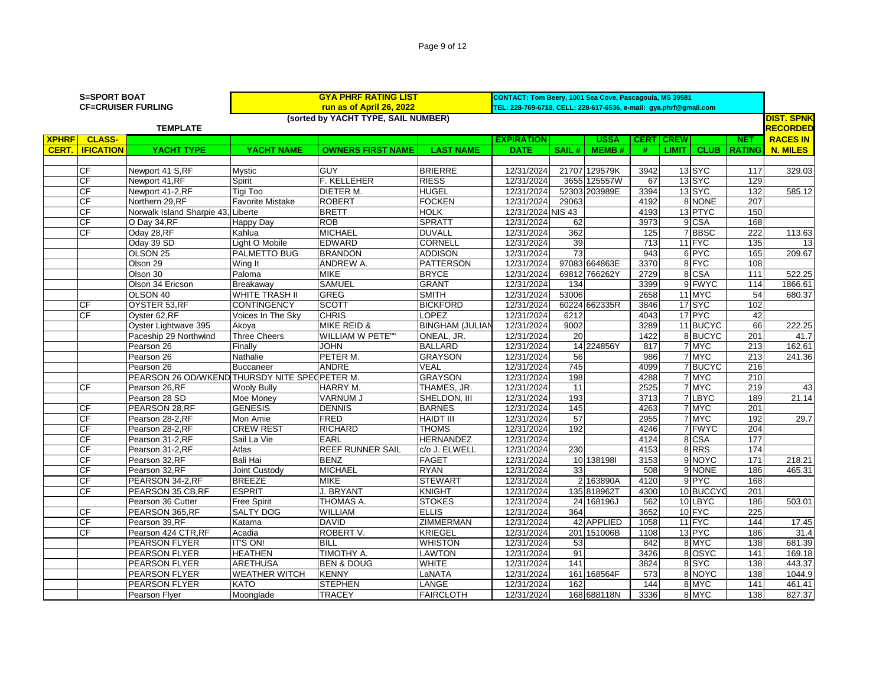| Page 9 of 12 |  |  |  |  |
|--------------|--|--|--|--|
|--------------|--|--|--|--|

|              | <b>S=SPORT BOAT</b> |                                               | <b>GYA PHRF RATING LIST</b> |                                     |                        | CONTACT: Tom Beery, 1001 Sea Cove, Pascagoula, MS 39581           |                 |               |      |                  |                   |                  |                   |
|--------------|---------------------|-----------------------------------------------|-----------------------------|-------------------------------------|------------------------|-------------------------------------------------------------------|-----------------|---------------|------|------------------|-------------------|------------------|-------------------|
|              |                     | <b>CF=CRUISER FURLING</b>                     |                             | run as of April 26, 2022            |                        | TEL: 228-769-6718, CELL: 228-617-6536, e-mail: gya.phrf@gmail.com |                 |               |      |                  |                   |                  |                   |
|              |                     |                                               |                             | (sorted by YACHT TYPE, SAIL NUMBER) |                        |                                                                   |                 |               |      |                  |                   |                  | <b>DIST. SPNK</b> |
|              |                     | <b>TEMPLATE</b>                               |                             |                                     |                        | <b>RECORDED</b>                                                   |                 |               |      |                  |                   |                  |                   |
| <b>XPHRF</b> | <b>CLASS-</b>       |                                               |                             |                                     |                        | <b>EXPIRATION</b>                                                 |                 | <b>USSA</b>   |      | <b>CERT CREW</b> |                   | <b>NET</b>       | <b>RACES IN</b>   |
| <b>CERT.</b> | <b>IFICATION</b>    | YACHT TYPE                                    | <b>YACHT NAME</b>           | <b>OWNERS FIRST NAME</b>            | <b>LAST NAME</b>       | <b>DATE</b>                                                       | SAIL#           | <b>MEMB#</b>  | #    |                  | LIMIT   CLUB      | <b>RATING</b>    | <b>N. MILES</b>   |
|              |                     |                                               |                             |                                     |                        |                                                                   |                 |               |      |                  |                   |                  |                   |
|              | $\overline{CF}$     | Newport 41 S,RF                               | Mystic                      | <b>GUY</b>                          | <b>BRIERRE</b>         | 12/31/2024                                                        |                 | 21707 129579K | 3942 |                  | <b>13 SYC</b>     | 117              | 329.03            |
|              | <b>CF</b>           | Newport 41, RF                                | Spirit                      | <b>F. KELLEHER</b>                  | <b>RIESS</b>           | 12/31/2024                                                        |                 | 3655 125557W  | 67   |                  | 13 SYC            | 129              |                   |
|              | <b>CF</b>           | Newport 41-2,RF                               | <b>Tigi Too</b>             | DIETER M.                           | <b>HUGEL</b>           | 12/31/2024                                                        | 52303           | 203989E       | 3394 |                  | 13 SYC            | 132              | 585.12            |
|              | <b>CF</b>           | Northern 29,RF                                | <b>Favorite Mistake</b>     | <b>ROBERT</b>                       | <b>FOCKEN</b>          | 12/31/2024                                                        | 29063           |               | 4192 |                  | 8 NONE            | 207              |                   |
|              | <b>CF</b>           | Norwalk Island Sharpie 43, Liberte            |                             | <b>BRETT</b>                        | <b>HOLK</b>            | 12/31/2024 NIS 43                                                 |                 |               | 4193 |                  | 13 PTYC           | 150              |                   |
|              | <b>CF</b>           | O Day 34, RF                                  | <b>Happy Day</b>            | <b>ROB</b>                          | <b>SPRATT</b>          | 12/31/2024                                                        | 62              |               | 3973 |                  | $9$ CSA           | 168              |                   |
|              | <b>CF</b>           | Oday 28, RF                                   | Kahlua                      | <b>MICHAEL</b>                      | <b>DUVALL</b>          | 12/31/2024                                                        | 362             |               | 125  |                  | 7BBSC             | 222              | 113.63            |
|              |                     | Oday 39 SD                                    | Light O Mobile              | <b>EDWARD</b>                       | <b>CORNELL</b>         | 12/31/2024                                                        | 39              |               | 713  |                  | 11 FYC            | $\overline{135}$ | 13                |
|              |                     | OLSON <sub>25</sub>                           | PALMETTO BUG                | <b>BRANDON</b>                      | <b>ADDISON</b>         | 12/31/2024                                                        | $\overline{73}$ |               | 943  |                  | 6 PYC             | 165              | 209.67            |
|              |                     | Olson 29                                      | Wing It                     | <b>ANDREW A.</b>                    | <b>PATTERSON</b>       | 12/31/2024                                                        |                 | 97083 664863E | 3370 |                  | 8 FYC             | 108              |                   |
|              |                     | Olson 30                                      | Paloma                      | <b>MIKE</b>                         | <b>BRYCE</b>           | 12/31/2024                                                        |                 | 69812 766262Y | 2729 |                  | 8 CSA             | 111              | 522.25            |
|              |                     | Olson 34 Ericson                              | Breakaway                   | <b>SAMUEL</b>                       | <b>GRANT</b>           | 12/31/2024                                                        | 134             |               | 3399 |                  | 9 FWYC            | 114              | 1866.61           |
|              |                     | OLSON 40                                      | <b>WHITE TRASH II</b>       | <b>GREG</b>                         | <b>SMITH</b>           | 12/31/2024                                                        | 53006           |               | 2658 |                  | 11 MYC            | 54               | 680.37            |
|              | <b>CF</b>           | OYSTER 53, RF                                 | <b>CONTINGENCY</b>          | <b>SCOTT</b>                        | <b>BICKFORD</b>        | 12/31/2024                                                        |                 | 60224 662335R | 3846 |                  | 17 <sub>SYC</sub> | 102              |                   |
|              | <b>CF</b>           | Oyster 62, RF                                 | Voices In The Sky           | <b>CHRIS</b>                        | LOPEZ                  | 12/31/2024                                                        | 6212            |               | 4043 |                  | 17 PYC            | 42               |                   |
|              |                     | Oyster Lightwave 395                          | Akoya                       | <b>MIKE REID &amp;</b>              | <b>BINGHAM (JULIAN</b> | 12/31/2024                                                        | 9002            |               | 3289 |                  | 11 BUCYC          | 66               | 222.25            |
|              |                     | Paceship 29 Northwind                         | <b>Three Cheers</b>         | <b>WILLIAM W PETE""</b>             | ONEAL, JR.             | 12/31/2024                                                        | 20              |               | 1422 |                  | 8BUCYC            | 201              | 41.7              |
|              |                     | Pearson 26                                    | Finally                     | <b>JOHN</b>                         | <b>BALLARD</b>         | 12/31/2024                                                        |                 | 14 224856Y    | 817  |                  | 7 MYC             | 213              | 162.61            |
|              |                     | Pearson 26                                    | Nathalie                    | PETER M.                            | <b>GRAYSON</b>         | 12/31/2024                                                        | 56              |               | 986  |                  | 7 MYC             | $\overline{213}$ | 241.36            |
|              |                     | Pearson 26                                    | <b>Buccaneer</b>            | <b>ANDRE</b>                        | <b>VEAL</b>            | 12/31/2024                                                        | 745             |               | 4099 |                  | 7 BUCYC           | 216              |                   |
|              |                     | PEARSON 26 OD/WKEND THURSDY NITE SPECPETER M. |                             |                                     | <b>GRAYSON</b>         | 12/31/2024                                                        | 198             |               | 4288 |                  | 7 MYC             | $\overline{210}$ |                   |
|              | <b>CF</b>           | Pearson 26, RF                                | <b>Wooly Bully</b>          | <b>HARRY M.</b>                     | THAMES, JR.            | 12/31/2024                                                        | 11              |               | 2525 |                  | 7 MYC             | 219              | 43                |
|              |                     | Pearson 28 SD                                 | Moe Money                   | VARNUM J                            | SHELDON, III           | 12/31/2024                                                        | 193             |               | 3713 |                  | 7 LBYC            | 189              | 21.14             |
|              | <b>CF</b>           | PEARSON 28, RF                                | <b>GENESIS</b>              | <b>DENNIS</b>                       | <b>BARNES</b>          | 12/31/2024                                                        | $\frac{145}{2}$ |               | 4263 |                  | 7 MYC             | 201              |                   |
|              | <b>CF</b>           | Pearson 28-2,RF                               | Mon Amie                    | <b>FRED</b>                         | <b>HAIDT III</b>       | 12/31/2024                                                        | 57              |               | 2955 |                  | 7 MYC             | 192              | 29.7              |
|              | CF                  | Pearson 28-2,RF                               | <b>CREW REST</b>            | <b>RICHARD</b>                      | <b>THOMS</b>           | 12/31/2024                                                        | 192             |               | 4246 |                  | 7 FWYC            | 204              |                   |
|              | <b>CF</b>           | Pearson 31-2,RF                               | Sail La Vie                 | <b>EARL</b>                         | <b>HERNANDEZ</b>       | 12/31/2024                                                        |                 |               | 4124 |                  | 8 CSA             | 177              |                   |
|              | <b>CF</b>           | Pearson 31-2,RF                               | Atlas                       | <b>REEF RUNNER SAIL</b>             | c/o J. ELWELL          | 12/31/2024                                                        | 230             |               | 4153 |                  | 8RRS              | 174              |                   |
|              | <b>CF</b>           | Pearson 32, RF                                | Bali Hai                    | <b>BENZ</b>                         | <b>FAGET</b>           | 12/31/2024                                                        |                 | 10 1381981    | 3153 |                  | 9NOYC             | $\frac{1}{171}$  | 218.21            |
|              | <b>CF</b>           | Pearson 32, RF                                | Joint Custody               | <b>MICHAEL</b>                      | <b>RYAN</b>            | 12/31/2024                                                        | 33              |               | 508  |                  | 9 NONE            | 186              | 465.31            |
|              | <b>CF</b>           | PEARSON 34-2, RF                              | <b>BREEZE</b>               | <b>MIKE</b>                         | <b>STEWART</b>         | 12/31/2024                                                        | $\overline{2}$  | 163890A       | 4120 |                  | 9 PYC             | 168              |                   |
|              | <b>CF</b>           | PEARSON 35 CB, RF                             | <b>ESPRIT</b>               | J. BRYANT                           | <b>KNIGHT</b>          | 12/31/2024                                                        |                 | 135 818962T   | 4300 |                  | 10 BUCCYO         | 201              |                   |
|              |                     | Pearson 36 Cutter                             | <b>Free Spirit</b>          | THOMAS A.                           | <b>STOKES</b>          | 12/31/2024                                                        |                 | 24 168196J    | 562  |                  | 10 LBYC           | 186              | 503.01            |
|              | <b>CF</b>           | PEARSON 365, RF                               | <b>SALTY DOG</b>            | WILLIAM                             | <b>ELLIS</b>           | 12/31/2024                                                        | 364             |               | 3652 |                  | 10 FYC            | 225              |                   |
|              | <b>CF</b>           | Pearson 39,RF                                 | Katama                      | <b>DAVID</b>                        | <b>ZIMMERMAN</b>       | 12/31/2024                                                        |                 | 42 APPLIED    | 1058 |                  | 11 FYC            | 144              | 17.45             |
|              | <b>CF</b>           | Pearson 424 CTR, RF                           | Acadia                      | ROBERT V.                           | <b>KRIEGEL</b>         | 12/31/2024                                                        | 201             | 151006B       | 1108 |                  | 13 PYC            | 186              | 31.4              |
|              |                     | <b>PEARSON FLYER</b>                          | <b>IT'S ON!</b>             | <b>BILL</b>                         | <b>WHISTON</b>         | 12/31/2024                                                        | 53              |               | 842  |                  | 8 MYC             | 138              | 681.39            |
|              |                     | PEARSON FLYER                                 | <b>HEATHEN</b>              | TIMOTHY A.                          | LAWTON                 | 12/31/2024                                                        | 91              |               | 3426 |                  | 8 OSYC            | 141              | 169.18            |
|              |                     | <b>PEARSON FLYER</b>                          | <b>ARETHUSA</b>             | <b>BEN &amp; DOUG</b>               | <b>WHITE</b>           | 12/31/2024                                                        | 141             |               | 3824 |                  | 8 SYC             | 138              | 443.37            |
|              |                     | PEARSON FLYER                                 | <b>WEATHER WITCH</b>        | <b>KENNY</b>                        | LaNATA                 | 12/31/2024                                                        |                 | 161 168564F   | 573  |                  | 8 NOYC            | 138              | 1044.9            |
|              |                     | <b>PEARSON FLYER</b>                          | <b>KATO</b>                 | <b>STEPHEN</b>                      | <b>LANGE</b>           | 12/31/2024                                                        | 162             |               | 144  |                  | 8 MYC             | 141              | 461.41            |
|              |                     | Pearson Flyer                                 | Moonglade                   | <b>TRACEY</b>                       | <b>FAIRCLOTH</b>       | 12/31/2024                                                        |                 | 168 688118N   | 3336 |                  | 8 MYC             | 138              | 827.37            |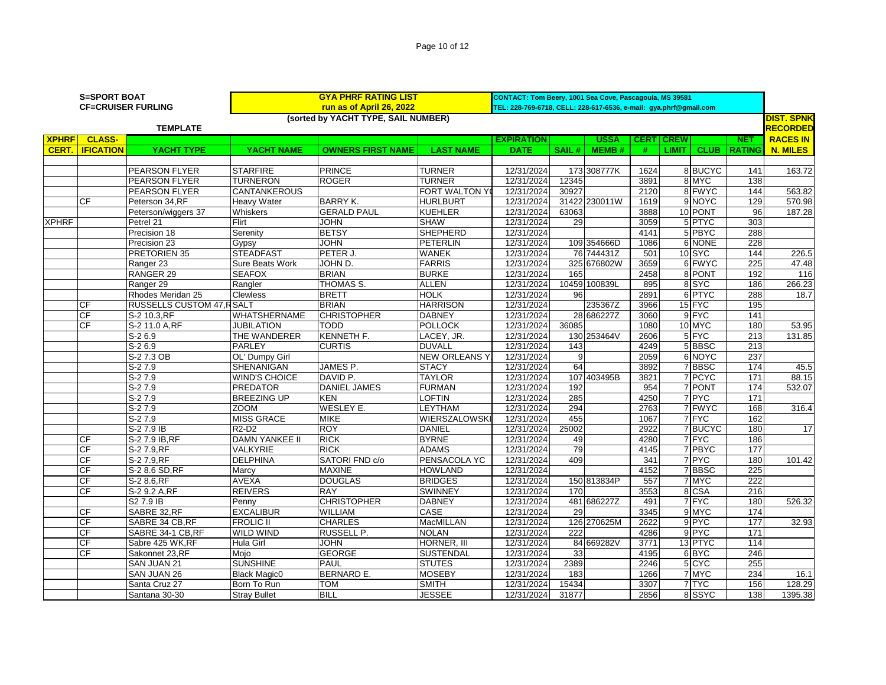| Page 10 of 12 |  |  |  |
|---------------|--|--|--|
|---------------|--|--|--|

| <b>S=SPORT BOAT</b> |                        |                                  | <b>GYA PHRF RATING LIST</b>    |                                                                   |                      | CONTACT: Tom Beery, 1001 Sea Cove, Pascagoula, MS 39581 |       |               |             |              |             |               |                   |
|---------------------|------------------------|----------------------------------|--------------------------------|-------------------------------------------------------------------|----------------------|---------------------------------------------------------|-------|---------------|-------------|--------------|-------------|---------------|-------------------|
|                     |                        | <b>CF=CRUISER FURLING</b>        |                                | TEL: 228-769-6718, CELL: 228-617-6536, e-mail: gya.phrf@gmail.com |                      |                                                         |       |               |             |              |             |               |                   |
|                     |                        |                                  |                                | (sorted by YACHT TYPE, SAIL NUMBER)                               |                      |                                                         |       |               |             |              |             |               | <b>DIST. SPNK</b> |
|                     |                        | <b>TEMPLATE</b>                  |                                |                                                                   |                      |                                                         |       |               |             |              |             |               | <b>RECORDED</b>   |
| <b>XPHRF</b>        | <b>CLASS-</b>          |                                  |                                |                                                                   |                      | <b>EXPIRATION</b>                                       |       | <b>USSA</b>   | <b>CERT</b> | <b>CREW</b>  |             | <b>NET</b>    | <b>RACES IN</b>   |
| CERT.               | <b>IFICATION</b>       | <b>YACHT TYPE</b>                | <b>YACHT NAME</b>              | <b>OWNERS FIRST NAME</b>                                          | <b>LAST NAME</b>     | <b>DATE</b>                                             | SAIL# | <b>MEMB#</b>  | #           | <b>LIMIT</b> | <b>CLUB</b> | <b>RATING</b> | <b>N. MILES</b>   |
|                     |                        |                                  |                                |                                                                   |                      |                                                         |       |               |             |              |             |               |                   |
|                     |                        | <b>PEARSON FLYER</b>             | <b>STARFIRE</b>                | <b>PRINCE</b>                                                     | <b>TURNER</b>        | 12/31/2024                                              |       | 173 308777K   | 1624        |              | 8 BUCYC     | 141           | 163.72            |
|                     |                        | <b>PEARSON FLYER</b>             | <b>TURNERON</b>                | <b>ROGER</b>                                                      | <b>TURNER</b>        | 12/31/2024                                              | 12345 |               | 3891        |              | 8 MYC       | 138           |                   |
|                     |                        | <b>PEARSON FLYER</b>             | <b>CANTANKEROUS</b>            |                                                                   | FORT WALTON YO       | 12/31/2024                                              | 30927 |               | 2120        |              | 8 FWYC      | 144           | 563.82            |
|                     | СF                     | Peterson 34,RF                   | Heavy Water                    | <b>BARRY K.</b>                                                   | <b>HURLBURT</b>      | 12/31/2024                                              |       | 31422 230011W | 1619        |              | 9 NOYC      | 129           | 570.98            |
|                     |                        | Peterson/wiggers 37              | Whiskers                       | <b>GERALD PAUL</b>                                                | <b>KUEHLER</b>       | 12/31/2024                                              | 63063 |               | 3888        |              | 10 PONT     | 96            | 187.28            |
| <b>XPHRF</b>        |                        | Petrel 21                        | Flirt                          | <b>JOHN</b>                                                       | <b>SHAW</b>          | 12/31/2024                                              | 29    |               | 3059        |              | 5 PTYC      | 303           |                   |
|                     |                        | Precision 18                     | Serenity                       | <b>BETSY</b>                                                      | <b>SHEPHERD</b>      | 12/31/2024                                              |       |               | 4141        |              | 5 PBYC      | 288           |                   |
|                     |                        | Precision 23                     | Gypsy                          | <b>JOHN</b>                                                       | <b>PETERLIN</b>      | 12/31/2024                                              |       | 109 354666D   | 1086        |              | 6 NONE      | 228           |                   |
|                     |                        | PRETORIEN 35                     | <b>STEADFAST</b>               | PETER J.                                                          | <b>WANEK</b>         | 12/31/2024                                              |       | 76 744431Z    | 501         |              | 10SYC       | 144           | 226.5             |
|                     |                        | Ranger 23                        | Sure Beats Work                | JOHN D.                                                           | <b>FARRIS</b>        | 12/31/2024                                              |       | 325 676802W   | 3659        |              | 6 FWYC      | 225           | 47.48             |
|                     |                        | RANGER 29                        | <b>SEAFOX</b>                  | <b>BRIAN</b>                                                      | <b>BURKE</b>         | 12/31/2024                                              | 165   |               | 2458        |              | 8 PONT      | 192           | 116               |
|                     |                        | Ranger 29                        | Rangler                        | THOMAS S.                                                         | <b>ALLEN</b>         | 12/31/2024                                              |       | 10459 100839L | 895         |              | 8SYC        | 186           | 266.23            |
|                     |                        | Rhodes Meridan 25                | Clewless                       | <b>BRETT</b>                                                      | <b>HOLK</b>          | 12/31/2024                                              | 96    |               | 2891        |              | 6 PTYC      | 288           | 18.7              |
|                     | <b>CF</b>              | <b>RUSSELLS CUSTOM 47, RSALT</b> |                                | <b>BRIAN</b>                                                      | <b>HARRISON</b>      | 12/31/2024                                              |       | 235367Z       | 3966        |              | 15 FYC      | 195           |                   |
|                     | CF                     | S-2 10.3,RF                      | <b>WHATSHERNAME</b>            | <b>CHRISTOPHER</b>                                                | <b>DABNEY</b>        | 12/31/2024                                              |       | 28 686227Z    | 3060        |              | 9 FYC       | 141           |                   |
|                     | <b>CF</b>              | S-2 11.0 A, RF                   | <b>JUBILATION</b>              | <b>TODD</b>                                                       | <b>POLLOCK</b>       | 12/31/2024                                              | 36085 |               | 1080        |              | 10 MYC      | 180           | 53.95             |
|                     |                        | $S-26.9$                         | THE WANDERER                   | <b>KENNETH F.</b>                                                 | LACEY, JR.           | 12/31/2024                                              |       | 130 253464V   | 2606        |              | 5 FYC       | 213           | 131.85            |
|                     |                        | $S-26.9$                         | <b>PARLEY</b>                  | <b>CURTIS</b>                                                     | <b>DUVALL</b>        | 12/31/2024                                              | 143   |               | 4249        |              | $5$ BBSC    | 213           |                   |
|                     |                        | S-27.3 OB                        | OL' Dumpy Girl                 |                                                                   | <b>NEW ORLEANS Y</b> | 12/31/2024                                              | 9     |               | 2059        |              | 6 NOYC      | 237           |                   |
|                     |                        | $S-27.9$                         | SHENANIGAN                     | JAMES <sub>P.</sub>                                               | <b>STACY</b>         | 12/31/2024                                              | 64    |               | 3892        |              | 7BBSC       | 174           | 45.5              |
|                     |                        | $S-27.9$                         | <b>WIND'S CHOICE</b>           | DAVID P.                                                          | <b>TAYLOR</b>        | 12/31/2024                                              |       | 107 403495B   | 3821        |              | 7 PCYC      | 171           | 88.15             |
|                     |                        | $S-27.9$                         | <b>PREDATOR</b>                | <b>DANIEL JAMES</b>                                               | <b>FURMAN</b>        | 12/31/2024                                              | 192   |               | 954         |              | 7 PONT      | 174           | 532.07            |
|                     |                        | S-27.9                           | <b>BREEZING UP</b>             | <b>KEN</b>                                                        | _OFTIN               | 12/31/2024                                              | 285   |               | 4250        |              | 7 PYC       | 171           |                   |
|                     |                        | $S-27.9$                         | <b>ZOOM</b>                    | <b>WESLEY E.</b>                                                  | <b>EYTHAM</b>        | 12/31/2024                                              | 294   |               | 2763        |              | 7 FWYC      | 168           | 316.4             |
|                     |                        | S-27.9                           | <b>MISS GRACE</b>              | <b>MIKE</b>                                                       | <b>WIERSZALOWSKI</b> | 12/31/2024                                              | 455   |               | 1067        |              | 7 FYC       | 162           |                   |
|                     |                        | S-2 7.9 IB                       | R <sub>2</sub> -D <sub>2</sub> | <b>ROY</b>                                                        | DANIEL               | 12/31/2024                                              | 25002 |               | 2922        |              | 7BUCYC      | 180           | 17                |
|                     | СF                     | S-2 7.9 IB, RF                   | <b>DAMN YANKEE II</b>          | <b>RICK</b>                                                       | <b>BYRNE</b>         | 12/31/2024                                              | 49    |               | 4280        |              | 7 FYC       | 186           |                   |
|                     | CF                     | S-2 7.9, RF                      | <b>VALKYRIE</b>                | RICK                                                              | <b>ADAMS</b>         | 12/31/2024                                              | 79    |               | 4145        |              | 7 PBYC      | 177           |                   |
|                     | <b>CF</b>              | S-2 7.9, RF                      | <b>DELPHINA</b>                | SATORI FND c/o                                                    | PENSACOLA YC         | 12/31/2024                                              | 409   |               | 341         |              | 7 PYC       | 180           | 101.42            |
|                     | CF                     | S-2 8.6 SD, RF                   | Marcy                          | <b>MAXINE</b>                                                     | <b>HOWLAND</b>       | 12/31/2024                                              |       |               | 4152        |              | 7BBSC       | 225           |                   |
|                     | CF                     | S-2 8.6, RF                      | <b>AVEXA</b>                   | <b>DOUGLAS</b>                                                    | <b>BRIDGES</b>       | 12/31/2024                                              |       | 150 813834P   | 557         |              | 7 MYC       | 222           |                   |
|                     | CF                     | S-2 9.2 A, RF                    | <b>REIVERS</b>                 | <b>RAY</b>                                                        | <b>SWINNEY</b>       | 12/31/2024                                              | 170   |               | 3553        |              | 8 CSA       | 216           |                   |
|                     |                        | S2 7.9 IB                        | Penny                          | <b>CHRISTOPHER</b>                                                | <b>DABNEY</b>        | 12/31/2024                                              |       | 481 686227Z   | 491         |              | 7 FYC       | 180           | 526.32            |
|                     | СF                     | SABRE 32, RF                     | <b>EXCALIBUR</b>               | <b>WILLIAM</b>                                                    | CASE                 | 12/31/2024                                              | 29    |               | 3345        |              | 9 MYC       | 174           |                   |
|                     | CF                     | SABRE 34 CB, RF                  | <b>FROLIC II</b>               | <b>CHARLES</b>                                                    | MacMILLAN            | 12/31/2024                                              |       | 126 270625M   | 2622        |              | 9 PYC       | 177           | 32.93             |
|                     | CF                     | SABRE 34-1 CB, RF                | <b>WILD WIND</b>               | <b>RUSSELL P.</b>                                                 | <b>NOLAN</b>         | 12/31/2024                                              | 222   |               | 4286        |              | 9 PYC       | 171           |                   |
|                     | CF                     | Sabre 425 WK,RF                  | Hula Girl                      | <b>JOHN</b>                                                       | HORNER, III          | 12/31/2024                                              |       | 84 669282V    | 3771        |              | 13 PTYC     | 114           |                   |
|                     | $\overline{\text{CF}}$ | Sakonnet 23,RF                   | Mojo                           | <b>GEORGE</b>                                                     | <b>SUSTENDAL</b>     | 12/31/2024                                              | 33    |               | 4195        |              | 6BYC        | 246           |                   |
|                     |                        | SAN JUAN 21                      | <b>SUNSHINE</b>                | <b>PAUL</b>                                                       | <b>STUTES</b>        | 12/31/2024                                              | 2389  |               | 2246        |              | 5 CYC       | 255           |                   |
|                     |                        | SAN JUAN 26                      | <b>Black Magic0</b>            | <b>BERNARD E.</b>                                                 | <b>MOSEBY</b>        | 12/31/2024                                              | 183   |               | 1266        |              | 7 MYC       | 234           | 16.1              |
|                     |                        | Santa Cruz 27                    | Born To Run                    | <b>TOM</b>                                                        | <b>SMITH</b>         | 12/31/2024                                              | 15434 |               | 3307        |              | 7 TYC       | 156           | 128.29            |
|                     |                        | Santana 30-30                    | <b>Stray Bullet</b>            | <b>BILL</b>                                                       | <b>JESSEE</b>        | 12/31/2024                                              | 31877 |               | 2856        |              | 8 SSYC      | 138           | 1395.38           |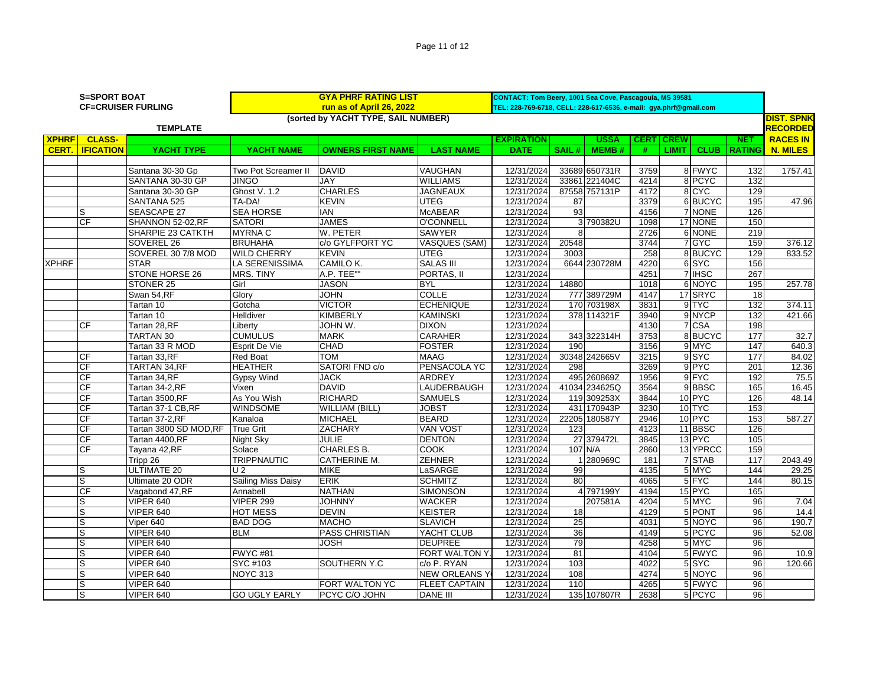| Page 11 of 12 |  |
|---------------|--|
|               |  |

| <b>S=SPORT BOAT</b><br><b>CF=CRUISER FURLING</b> |                  |                          |                                     | CONTACT: Tom Beery, 1001 Sea Cove, Pascagoula, MS 39581<br>TEL: 228-769-6718, CELL: 228-617-6536, e-mail: gya.phrf@gmail.com |                      |                   |                 |                 |             |              |                   |                                  |                 |
|--------------------------------------------------|------------------|--------------------------|-------------------------------------|------------------------------------------------------------------------------------------------------------------------------|----------------------|-------------------|-----------------|-----------------|-------------|--------------|-------------------|----------------------------------|-----------------|
|                                                  |                  |                          | (sorted by YACHT TYPE, SAIL NUMBER) |                                                                                                                              |                      |                   |                 |                 |             |              | <b>DIST. SPNK</b> |                                  |                 |
|                                                  |                  | <b>TEMPLATE</b>          |                                     |                                                                                                                              |                      |                   |                 | <b>RECORDED</b> |             |              |                   |                                  |                 |
| <b>XPHRF</b>                                     | <b>CLASS-</b>    |                          |                                     |                                                                                                                              | <b>LAST NAME</b>     | <b>EXPIRATION</b> |                 | <b>USSA</b>     | <b>CERT</b> | <b>CREW</b>  |                   | <b>NET</b><br><b>CLUB RATING</b> | <b>RACES IN</b> |
| CERT.                                            | <b>IFICATION</b> | YACHT TYPE               | YACHT NAME                          | <b>OWNERS FIRST NAME</b>                                                                                                     |                      | <b>DATE</b>       | SAIL#           | <b>MEMB#</b>    | #           | <b>LIMIT</b> |                   |                                  | N. MILES        |
|                                                  |                  | Santana 30-30 Gp         | Two Pot Screamer II                 | <b>DAVID</b>                                                                                                                 | <b>VAUGHAN</b>       | 12/31/2024        |                 | 33689 650731R   | 3759        |              | 8 FWYC            | 132                              | 1757.41         |
|                                                  |                  | SANTANA 30-30 GP         | <b>JINGO</b>                        | <b>JAY</b>                                                                                                                   | <b>WILLIAMS</b>      | 12/31/2024        |                 | 33861 221404C   | 4214        |              | 8 PCYC            | 132                              |                 |
|                                                  |                  | Santana 30-30 GP         | Ghost V. 1.2                        | <b>CHARLES</b>                                                                                                               | <b>JAGNEAUX</b>      | 12/31/2024        |                 | 87558 757131P   | 4172        |              | 8 CYC             | 129                              |                 |
|                                                  |                  | SANTANA 525              | TA-DA!                              | <b>KEVIN</b>                                                                                                                 | <b>UTEG</b>          | 12/31/2024        | 87              |                 | 3379        |              | 6BUCYC            | 195                              | 47.96           |
|                                                  | S                | <b>SEASCAPE 27</b>       | <b>SEA HORSE</b>                    | <b>IAN</b>                                                                                                                   | <b>McABEAR</b>       | 12/31/2024        | 93              |                 | 4156        |              | 7 NONE            | 126                              |                 |
|                                                  | CF               | SHANNON 52-02, RF        | <b>SATORI</b>                       | <b>JAMES</b>                                                                                                                 | <b>O'CONNELL</b>     | 12/31/2024        |                 | 3 790382U       | 1098        |              | 17 NONE           | 150                              |                 |
|                                                  |                  | <b>SHARPIE 23 CATKTH</b> | <b>MYRNAC</b>                       | W. PETER                                                                                                                     | <b>SAWYER</b>        | 12/31/2024        | 8               |                 | 2726        |              | 6 NONE            | 219                              |                 |
|                                                  |                  | SOVEREL 26               | <b>BRUHAHA</b>                      | lc/o GYLFPORT YC                                                                                                             | <b>VASQUES (SAM)</b> | 12/31/2024        | 20548           |                 | 3744        |              | 7 GYC             | 159                              | 376.12          |
|                                                  |                  | SOVEREL 30 7/8 MOD       | <b>WILD CHERRY</b>                  | <b>KEVIN</b>                                                                                                                 | <b>UTEG</b>          | 12/31/2024        | 3003            |                 | 258         |              | 8 BUCYC           | 129                              | 833.52          |
| <b>XPHRF</b>                                     |                  | <b>STAR</b>              | LA SERENISSIMA                      | CAMILO K.                                                                                                                    | <b>SALAS III</b>     | 12/31/2024        |                 | 6644 230728M    | 4220        |              | 6 SYC             | 156                              |                 |
|                                                  |                  | STONE HORSE 26           | <b>MRS. TINY</b>                    | A.P. TEE""                                                                                                                   | PORTAS, II           | 12/31/2024        |                 |                 | 4251        |              | 7 IHSC            | 267                              |                 |
|                                                  |                  | STONER 25                | Girl                                | <b>JASON</b>                                                                                                                 | <b>BYL</b>           | 12/31/2024        | 14880           |                 | 1018        |              | 6 NOYC            | 195                              | 257.78          |
|                                                  |                  | Swan 54,RF               | Glory                               | <b>JOHN</b>                                                                                                                  | <b>COLLE</b>         | 12/31/2024        |                 | 777 389729M     | 4147        |              | 17 SRYC           | 18                               |                 |
|                                                  |                  | Tartan 10                | Gotcha                              | <b>VICTOR</b>                                                                                                                | <b>ECHENIQUE</b>     | 12/31/2024        |                 | 170 703198X     | 3831        |              | 9 TYC             | 132                              | 374.11          |
|                                                  |                  | Tartan 10                | Helldiver                           | <b>KIMBERLY</b>                                                                                                              | <b>KAMINSKI</b>      | 12/31/2024        |                 | 378 114321F     | 3940        |              | 9NYCP             | 132                              | 421.66          |
|                                                  | СF               | Tartan 28,RF             | Liberty                             | <b>JOHN W.</b>                                                                                                               | <b>DIXON</b>         | 12/31/2024        |                 |                 | 4130        |              | 7 CSA             | 198                              |                 |
|                                                  |                  | <b>TARTAN 30</b>         | <b>CUMULUS</b>                      | <b>MARK</b>                                                                                                                  | <b>CARAHER</b>       | 12/31/2024        |                 | 343 322314H     | 3753        |              | 8 BUCYC           | 177                              | 32.7            |
|                                                  |                  | Tartan 33 R MOD          | Esprit De Vie                       | <b>CHAD</b>                                                                                                                  | <b>FOSTER</b>        | 12/31/2024        | 190             |                 | 3156        |              | 9 MYC             | 147                              | 640.3           |
|                                                  | CF               | Tartan 33,RF             | <b>Red Boat</b>                     | <b>TOM</b>                                                                                                                   | <b>MAAG</b>          | 12/31/2024        |                 | 30348 242665V   | 3215        |              | 9SYC              | 177                              | 84.02           |
|                                                  | CF               | <b>TARTAN 34, RF</b>     | <b>HEATHER</b>                      | SATORI FND c/o                                                                                                               | PENSACOLA YC         | 12/31/2024        | 298             |                 | 3269        |              | $9$ PYC           | 201                              | 12.36           |
|                                                  | CF               | Tartan 34, RF            | <b>Gypsy Wind</b>                   | <b>JACK</b>                                                                                                                  | <b>ARDREY</b>        | 12/31/2024        |                 | 495 260869Z     | 1956        |              | 9 FYC             | 192                              | 75.5            |
|                                                  | CF               | Tartan 34-2,RF           | Vixen                               | <b>DAVID</b>                                                                                                                 | LAUDERBAUGH          | 12/31/2024        |                 | 41034 234625Q   | 3564        |              | 9BBSC             | 165                              | 16.45           |
|                                                  | $\overline{CF}$  | Tartan 3500,RF           | As You Wish                         | <b>RICHARD</b>                                                                                                               | <b>SAMUELS</b>       | 12/31/2024        |                 | 119 309253X     | 3844        |              | 10 <sub>PYC</sub> | 126                              | 48.14           |
|                                                  | CF               | Tartan 37-1 CB,RF        | <b>WINDSOME</b>                     | WILLIAM (BILL)                                                                                                               | <b>JOBST</b>         | 12/31/2024        |                 | 431 170943P     | 3230        |              | 10 TYC            | 153                              |                 |
|                                                  | CF               | Tartan 37-2,RF           | Kanaloa                             | <b>MICHAEL</b>                                                                                                               | <b>BEARD</b>         | 12/31/2024        |                 | 22205 180587Y   | 2946        |              | 10 PYC            | 153                              | 587.27          |
|                                                  | CF               | Tartan 3800 SD MOD, RF   | <b>True Grit</b>                    | <b>ZACHARY</b>                                                                                                               | <b>VAN VOST</b>      | 12/31/2024        | 123             |                 | 4123        |              | 11 BBSC           | 126                              |                 |
|                                                  | CF               | Tartan 4400,RF           | Night Sky                           | <b>JULIE</b>                                                                                                                 | <b>DENTON</b>        | 12/31/2024        |                 | 27 379472L      | 3845        |              | 13 PYC            | 105                              |                 |
|                                                  | CF               | Tayana 42, RF            | Solace                              | <b>CHARLES B.</b>                                                                                                            | <b>COOK</b>          | 12/31/2024        |                 | 107 N/A         | 2860        |              | 13 YPRCC          | 159                              |                 |
|                                                  |                  | Tripp 26                 | <b>TRIPPNAUTIC</b>                  | <b>CATHERINE M.</b>                                                                                                          | <b>ZEHNER</b>        | 12/31/2024        |                 | 280969C         | 181         |              | 7 STAB            | $\overline{117}$                 | 2043.49         |
|                                                  | S                | <b>ULTIMATE 20</b>       | U <sub>2</sub>                      | <b>MIKE</b>                                                                                                                  | LaSARGE              | 12/31/2024        | 99              |                 | 4135        |              | 5 MYC             | 144                              | 29.25           |
|                                                  | S                | Ultimate 20 ODR          | Sailing Miss Daisy                  | <b>ERIK</b>                                                                                                                  | <b>SCHMITZ</b>       | 12/31/2024        | 80              |                 | 4065        |              | 5 FYC             | 144                              | 80.15           |
|                                                  | $\overline{CF}$  | Vagabond 47, RF          | Annabell                            | <b>NATHAN</b>                                                                                                                | SIMONSON             | 12/31/2024        |                 | 4 797199Y       | 4194        |              | 15 PYC            | 165                              |                 |
|                                                  | S                | VIPER 640                | <b>VIPER 299</b>                    | <b>JOHNNY</b>                                                                                                                | <b>WACKER</b>        | 12/31/2024        |                 | 207581A         | 4204        |              | 5 MYC             | 96                               | 7.04            |
|                                                  | S                | VIPER 640                | <b>HOT MESS</b>                     | <b>DEVIN</b>                                                                                                                 | <b>KEISTER</b>       | 12/31/2024        | 18              |                 | 4129        |              | 5 PONT            | 96                               | 14.4            |
|                                                  | S                | Viper 640                | <b>BAD DOG</b>                      | <b>MACHO</b>                                                                                                                 | <b>SLAVICH</b>       | 12/31/2024        | $\overline{25}$ |                 | 4031        |              | 5 NOYC            | 96                               | 190.7           |
|                                                  | S                | VIPER 640                | <b>BLM</b>                          | <b>PASS CHRISTIAN</b>                                                                                                        | YACHT CLUB           | 12/31/2024        | 36              |                 | 4149        |              | 5 PCYC            | 96                               | 52.08           |
|                                                  | S                | <b>VIPER 640</b>         |                                     | <b>JOSH</b>                                                                                                                  | <b>DEUPREE</b>       | 12/31/2024        | 79              |                 | 4258        |              | 5 MYC             | 96                               |                 |
|                                                  | S                | <b>VIPER 640</b>         | <b>FWYC#81</b>                      |                                                                                                                              | FORT WALTON Y        | 12/31/2024        | 81              |                 | 4104        |              | 5 FWYC            | 96                               | 10.9            |
|                                                  | S                | <b>VIPER 640</b>         | SYC #103                            | SOUTHERN Y.C                                                                                                                 | c/o P. RYAN          | 12/31/2024        | 103             |                 | 4022        |              | 5 SYC             | 96                               | 120.66          |
|                                                  | S                | <b>VIPER 640</b>         | <b>NOYC 313</b>                     |                                                                                                                              | <b>NEW ORLEANS Y</b> | 12/31/2024        | 108             |                 | 4274        |              | 5 NOYC            | 96                               |                 |
|                                                  | S                | <b>VIPER 640</b>         |                                     | FORT WALTON YC                                                                                                               | <b>FLEET CAPTAIN</b> | 12/31/2024        | 110             |                 | 4265        |              | 5 FWYC            | 96                               |                 |
|                                                  | S                | <b>VIPER 640</b>         | <b>GO UGLY EARLY</b>                | PCYC C/O JOHN                                                                                                                | DANE III             | 12/31/2024        |                 | 135 107807R     | 2638        |              | 5 PCYC            | 96                               |                 |